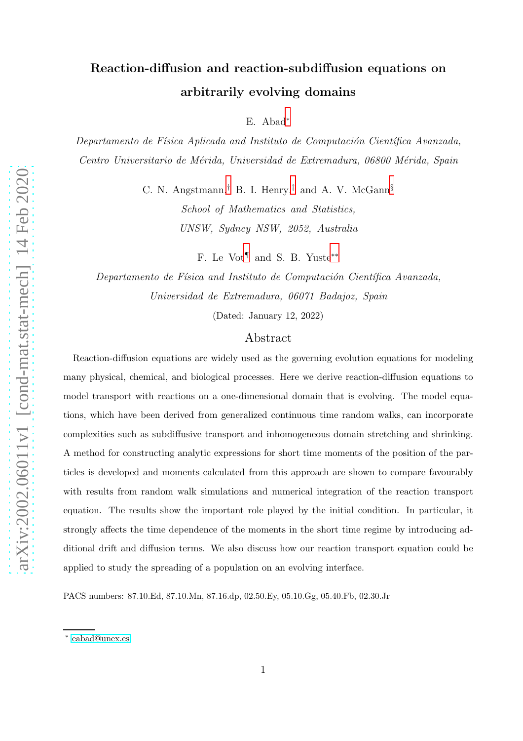# Reaction-diffusion and reaction-subdiffusion equations on arbitrarily evolving domains

E. Abad[∗](#page-0-0)

Departamento de Física Aplicada and Instituto de Computación Científica Avanzada, Centro Universitario de Mérida, Universidad de Extremadura, 06800 Mérida, Spain

> C. N. Angstmann,[†](#page-1-0) B. I. Henry,[‡](#page-1-1) and A. V. McGann[§](#page-1-2) School of Mathematics and Statistics, UNSW, Sydney NSW, 2052, Australia

> > F. Le Vot[¶](#page-1-3) and S. B. Yuste[∗∗](#page-1-4)

Departamento de Física and Instituto de Computación Científica Avanzada, Universidad de Extremadura, 06071 Badajoz, Spain

(Dated: January 12, 2022)

# Abstract

Reaction-diffusion equations are widely used as the governing evolution equations for modeling many physical, chemical, and biological processes. Here we derive reaction-diffusion equations to model transport with reactions on a one-dimensional domain that is evolving. The model equations, which have been derived from generalized continuous time random walks, can incorporate complexities such as subdiffusive transport and inhomogeneous domain stretching and shrinking. A method for constructing analytic expressions for short time moments of the position of the particles is developed and moments calculated from this approach are shown to compare favourably with results from random walk simulations and numerical integration of the reaction transport equation. The results show the important role played by the initial condition. In particular, it strongly affects the time dependence of the moments in the short time regime by introducing additional drift and diffusion terms. We also discuss how our reaction transport equation could be applied to study the spreading of a population on an evolving interface.

PACS numbers: 87.10.Ed, 87.10.Mn, 87.16.dp, 02.50.Ey, 05.10.Gg, 05.40.Fb, 02.30.Jr

<span id="page-0-0"></span><sup>∗</sup> [eabad@unex.es](mailto:eabad@unex.es)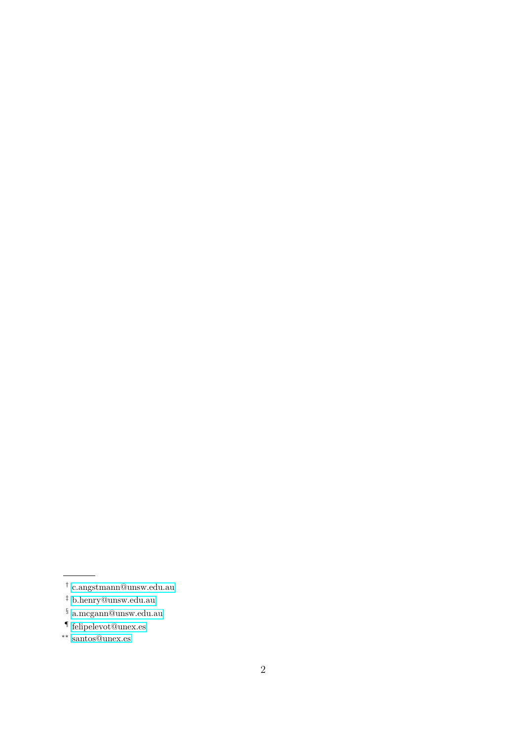<span id="page-1-0"></span><sup>†</sup> [c.angstmann@unsw.edu.au](mailto:c.angstmann@unsw.edu.au)

<span id="page-1-1"></span><sup>‡</sup> [b.henry@unsw.edu.au](mailto:b.henry@unsw.edu.au)

<span id="page-1-2"></span> $\S$ [a.mcgann@unsw.edu.au](mailto:a.mcgann@unsw.edu.au)

<span id="page-1-4"></span><span id="page-1-3"></span><sup>¶</sup> [felipelevot@unex.es](mailto:felipelevot@unex.es)

<sup>∗∗</sup> [santos@unex.es](mailto:santos@unex.es)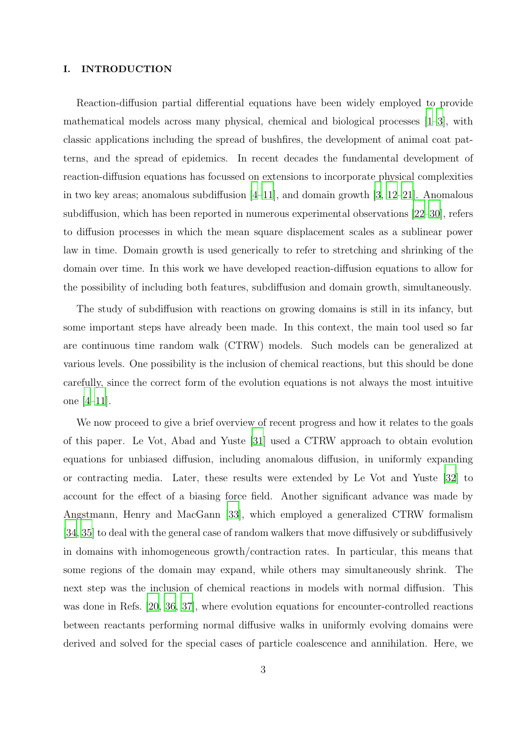#### I. INTRODUCTION

Reaction-diffusion partial differential equations have been widely employed to provide mathematical models across many physical, chemical and biological processes [\[1](#page-34-0)[–3\]](#page-35-0), with classic applications including the spread of bushfires, the development of animal coat patterns, and the spread of epidemics. In recent decades the fundamental development of reaction-diffusion equations has focussed on extensions to incorporate physical complexities in two key areas; anomalous subdiffusion  $[4-11]$ , and domain growth  $[3, 12-21]$  $[3, 12-21]$  $[3, 12-21]$ . Anomalous subdiffusion, which has been reported in numerous experimental observations [\[22](#page-36-1)[–30\]](#page-36-2), refers to diffusion processes in which the mean square displacement scales as a sublinear power law in time. Domain growth is used generically to refer to stretching and shrinking of the domain over time. In this work we have developed reaction-diffusion equations to allow for the possibility of including both features, subdiffusion and domain growth, simultaneously.

The study of subdiffusion with reactions on growing domains is still in its infancy, but some important steps have already been made. In this context, the main tool used so far are continuous time random walk (CTRW) models. Such models can be generalized at various levels. One possibility is the inclusion of chemical reactions, but this should be done carefully, since the correct form of the evolution equations is not always the most intuitive one [\[4](#page-35-1)[–11](#page-35-2)].

We now proceed to give a brief overview of recent progress and how it relates to the goals of this paper. Le Vot, Abad and Yuste [\[31\]](#page-37-0) used a CTRW approach to obtain evolution equations for unbiased diffusion, including anomalous diffusion, in uniformly expanding or contracting media. Later, these results were extended by Le Vot and Yuste [\[32\]](#page-37-1) to account for the effect of a biasing force field. Another significant advance was made by Angstmann, Henry and MacGann [\[33\]](#page-37-2), which employed a generalized CTRW formalism [\[34,](#page-37-3) [35\]](#page-37-4) to deal with the general case of random walkers that move diffusively or subdiffusively in domains with inhomogeneous growth/contraction rates. In particular, this means that some regions of the domain may expand, while others may simultaneously shrink. The next step was the inclusion of chemical reactions in models with normal diffusion. This was done in Refs. [\[20,](#page-36-3) [36,](#page-37-5) [37\]](#page-37-6), where evolution equations for encounter-controlled reactions between reactants performing normal diffusive walks in uniformly evolving domains were derived and solved for the special cases of particle coalescence and annihilation. Here, we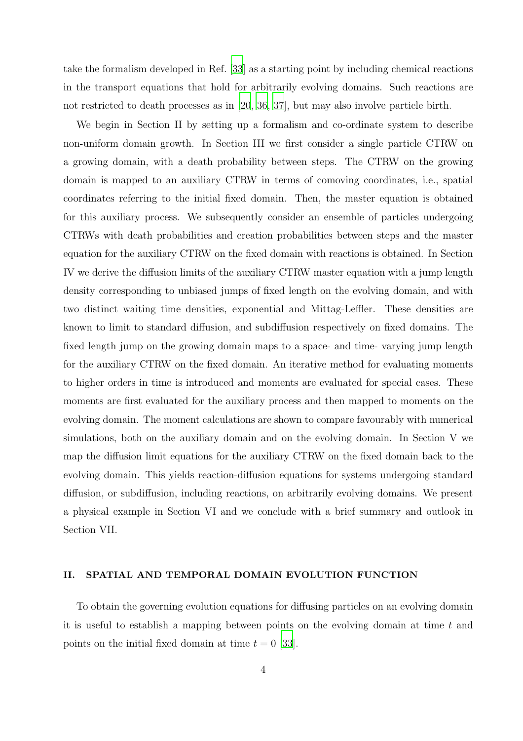take the formalism developed in Ref. [\[33](#page-37-2)] as a starting point by including chemical reactions in the transport equations that hold for arbitrarily evolving domains. Such reactions are not restricted to death processes as in [\[20](#page-36-3), [36](#page-37-5), [37](#page-37-6)], but may also involve particle birth.

We begin in Section II by setting up a formalism and co-ordinate system to describe non-uniform domain growth. In Section III we first consider a single particle CTRW on a growing domain, with a death probability between steps. The CTRW on the growing domain is mapped to an auxiliary CTRW in terms of comoving coordinates, i.e., spatial coordinates referring to the initial fixed domain. Then, the master equation is obtained for this auxiliary process. We subsequently consider an ensemble of particles undergoing CTRWs with death probabilities and creation probabilities between steps and the master equation for the auxiliary CTRW on the fixed domain with reactions is obtained. In Section IV we derive the diffusion limits of the auxiliary CTRW master equation with a jump length density corresponding to unbiased jumps of fixed length on the evolving domain, and with two distinct waiting time densities, exponential and Mittag-Leffler. These densities are known to limit to standard diffusion, and subdiffusion respectively on fixed domains. The fixed length jump on the growing domain maps to a space- and time- varying jump length for the auxiliary CTRW on the fixed domain. An iterative method for evaluating moments to higher orders in time is introduced and moments are evaluated for special cases. These moments are first evaluated for the auxiliary process and then mapped to moments on the evolving domain. The moment calculations are shown to compare favourably with numerical simulations, both on the auxiliary domain and on the evolving domain. In Section V we map the diffusion limit equations for the auxiliary CTRW on the fixed domain back to the evolving domain. This yields reaction-diffusion equations for systems undergoing standard diffusion, or subdiffusion, including reactions, on arbitrarily evolving domains. We present a physical example in Section VI and we conclude with a brief summary and outlook in Section VII.

# II. SPATIAL AND TEMPORAL DOMAIN EVOLUTION FUNCTION

To obtain the governing evolution equations for diffusing particles on an evolving domain it is useful to establish a mapping between points on the evolving domain at time  $t$  and points on the initial fixed domain at time  $t = 0$  [\[33\]](#page-37-2).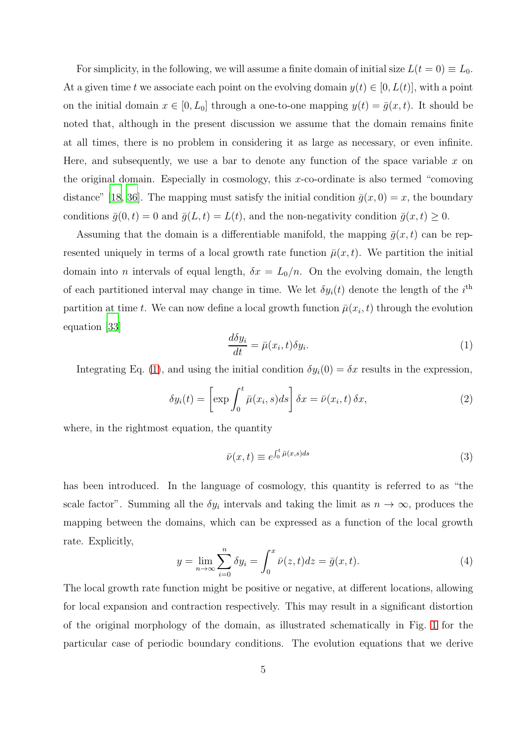For simplicity, in the following, we will assume a finite domain of initial size  $L(t = 0) \equiv L_0$ . At a given time t we associate each point on the evolving domain  $y(t) \in [0, L(t)]$ , with a point on the initial domain  $x \in [0, L_0]$  through a one-to-one mapping  $y(t) = \overline{g}(x, t)$ . It should be noted that, although in the present discussion we assume that the domain remains finite at all times, there is no problem in considering it as large as necessary, or even infinite. Here, and subsequently, we use a bar to denote any function of the space variable  $x$  on the original domain. Especially in cosmology, this  $x$ -co-ordinate is also termed "comoving" distance" [\[18,](#page-36-4) [36](#page-37-5)]. The mapping must satisfy the initial condition  $\bar{g}(x, 0) = x$ , the boundary conditions  $\bar{g}(0, t) = 0$  and  $\bar{g}(L, t) = L(t)$ , and the non-negativity condition  $\bar{g}(x, t) \geq 0$ .

Assuming that the domain is a differentiable manifold, the mapping  $\bar{g}(x, t)$  can be represented uniquely in terms of a local growth rate function  $\bar{\mu}(x, t)$ . We partition the initial domain into *n* intervals of equal length,  $\delta x = L_0/n$ . On the evolving domain, the length of each partitioned interval may change in time. We let  $\delta y_i(t)$  denote the length of the  $i^{\text{th}}$ partition at time t. We can now define a local growth function  $\bar{\mu}(x_i, t)$  through the evolution equation [\[33\]](#page-37-2)

<span id="page-4-0"></span>
$$
\frac{d\delta y_i}{dt} = \bar{\mu}(x_i, t)\delta y_i.
$$
\n(1)

Integrating Eq. [\(1\)](#page-4-0), and using the initial condition  $\delta y_i(0) = \delta x$  results in the expression,

$$
\delta y_i(t) = \left[ \exp \int_0^t \bar{\mu}(x_i, s) ds \right] \delta x = \bar{\nu}(x_i, t) \delta x,\tag{2}
$$

where, in the rightmost equation, the quantity

$$
\bar{\nu}(x,t) \equiv e^{\int_0^t \bar{\mu}(x,s)ds} \tag{3}
$$

has been introduced. In the language of cosmology, this quantity is referred to as "the scale factor". Summing all the  $\delta y_i$  intervals and taking the limit as  $n \to \infty$ , produces the mapping between the domains, which can be expressed as a function of the local growth rate. Explicitly,

<span id="page-4-1"></span>
$$
y = \lim_{n \to \infty} \sum_{i=0}^{n} \delta y_i = \int_0^x \bar{\nu}(z, t) dz = \bar{g}(x, t).
$$
 (4)

The local growth rate function might be positive or negative, at different locations, allowing for local expansion and contraction respectively. This may result in a significant distortion of the original morphology of the domain, as illustrated schematically in Fig. [1](#page-6-0) for the particular case of periodic boundary conditions. The evolution equations that we derive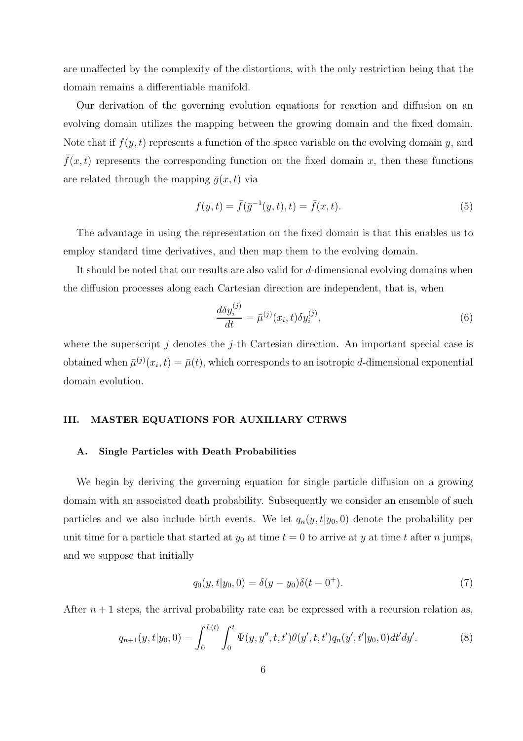are unaffected by the complexity of the distortions, with the only restriction being that the domain remains a differentiable manifold.

Our derivation of the governing evolution equations for reaction and diffusion on an evolving domain utilizes the mapping between the growing domain and the fixed domain. Note that if  $f(y, t)$  represents a function of the space variable on the evolving domain y, and  $f(x, t)$  represents the corresponding function on the fixed domain x, then these functions are related through the mapping  $\bar{q}(x, t)$  via

<span id="page-5-1"></span>
$$
f(y,t) = \bar{f}(\bar{g}^{-1}(y,t),t) = \bar{f}(x,t).
$$
\n(5)

The advantage in using the representation on the fixed domain is that this enables us to employ standard time derivatives, and then map them to the evolving domain.

It should be noted that our results are also valid for d-dimensional evolving domains when the diffusion processes along each Cartesian direction are independent, that is, when

$$
\frac{d\delta y_i^{(j)}}{dt} = \bar{\mu}^{(j)}(x_i, t)\delta y_i^{(j)},\tag{6}
$$

where the superscript j denotes the j-th Cartesian direction. An important special case is obtained when  $\bar{\mu}^{(j)}(x_i, t) = \bar{\mu}(t)$ , which corresponds to an isotropic d-dimensional exponential domain evolution.

# III. MASTER EQUATIONS FOR AUXILIARY CTRWS

#### A. Single Particles with Death Probabilities

We begin by deriving the governing equation for single particle diffusion on a growing domain with an associated death probability. Subsequently we consider an ensemble of such particles and we also include birth events. We let  $q_n(y, t|y_0, 0)$  denote the probability per unit time for a particle that started at  $y_0$  at time  $t = 0$  to arrive at y at time t after n jumps, and we suppose that initially

$$
q_0(y, t|y_0, 0) = \delta(y - y_0)\delta(t - 0^+).
$$
\n(7)

After  $n+1$  steps, the arrival probability rate can be expressed with a recursion relation as,

<span id="page-5-0"></span>
$$
q_{n+1}(y,t|y_0,0) = \int_0^{L(t)} \int_0^t \Psi(y,y'',t,t')\theta(y',t,t')q_n(y',t'|y_0,0)dt'dy'.\tag{8}
$$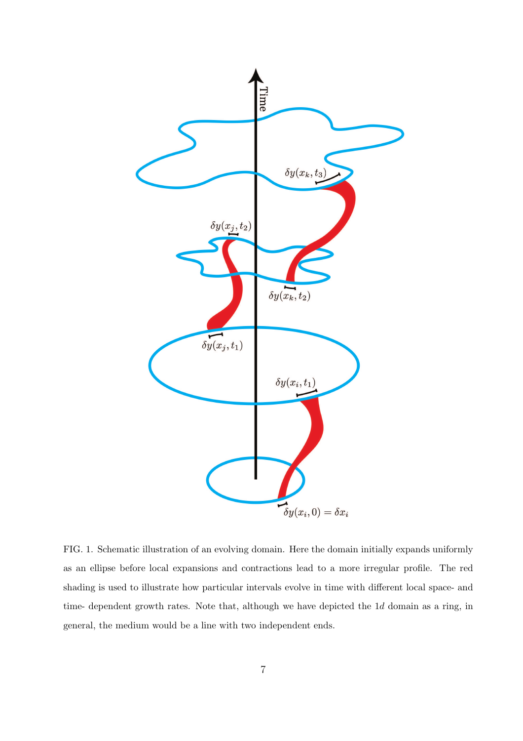

<span id="page-6-0"></span>FIG. 1. Schematic illustration of an evolving domain. Here the domain initially expands uniformly as an ellipse before local expansions and contractions lead to a more irregular profile. The red shading is used to illustrate how particular intervals evolve in time with different local space- and time- dependent growth rates. Note that, although we have depicted the 1d domain as a ring, in general, the medium would be a line with two independent ends.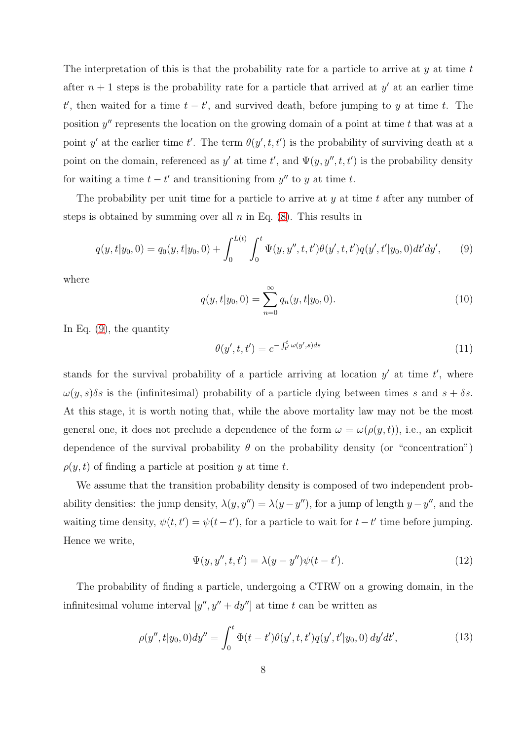The interpretation of this is that the probability rate for a particle to arrive at  $\eta$  at time t after  $n+1$  steps is the probability rate for a particle that arrived at  $y'$  at an earlier time t', then waited for a time  $t - t'$ , and survived death, before jumping to y at time t. The position  $y''$  represents the location on the growing domain of a point at time  $t$  that was at a point y' at the earlier time t'. The term  $\theta(y', t, t')$  is the probability of surviving death at a point on the domain, referenced as y' at time t', and  $\Psi(y, y'', t, t')$  is the probability density for waiting a time  $t - t'$  and transitioning from  $y''$  to y at time t.

The probability per unit time for a particle to arrive at  $y$  at time  $t$  after any number of steps is obtained by summing over all  $n$  in Eq.  $(8)$ . This results in

<span id="page-7-0"></span>
$$
q(y,t|y_0,0) = q_0(y,t|y_0,0) + \int_0^{L(t)} \int_0^t \Psi(y,y'',t,t')\theta(y',t,t')q(y',t'|y_0,0)dt'dy',
$$
 (9)

where

$$
q(y, t|y_0, 0) = \sum_{n=0}^{\infty} q_n(y, t|y_0, 0).
$$
 (10)

In Eq. [\(9\)](#page-7-0), the quantity

$$
\theta(y',t,t') = e^{-\int_{t'}^{t} \omega(y',s)ds} \tag{11}
$$

stands for the survival probability of a particle arriving at location  $y'$  at time  $t'$ , where  $\omega(y, s)\delta s$  is the (infinitesimal) probability of a particle dying between times s and  $s + \delta s$ . At this stage, it is worth noting that, while the above mortality law may not be the most general one, it does not preclude a dependence of the form  $\omega = \omega(\rho(y, t))$ , i.e., an explicit dependence of the survival probability  $\theta$  on the probability density (or "concentration")  $\rho(y, t)$  of finding a particle at position y at time t.

We assume that the transition probability density is composed of two independent probability densities: the jump density,  $\lambda(y, y'') = \lambda(y - y'')$ , for a jump of length  $y - y''$ , and the waiting time density,  $\psi(t, t') = \psi(t - t')$ , for a particle to wait for  $t - t'$  time before jumping. Hence we write,

$$
\Psi(y, y'', t, t') = \lambda(y - y'')\psi(t - t').
$$
\n(12)

<span id="page-7-1"></span>The probability of finding a particle, undergoing a CTRW on a growing domain, in the infinitesimal volume interval  $[y'', y'' + dy'']$  at time t can be written as

$$
\rho(y'',t|y_0,0)dy'' = \int_0^t \Phi(t-t')\theta(y',t,t')q(y',t'|y_0,0) dy'dt',
$$
\n(13)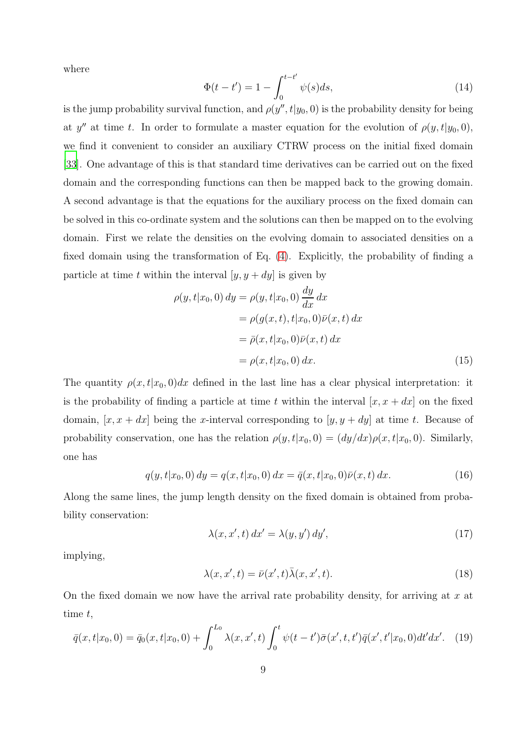where

$$
\Phi(t - t') = 1 - \int_0^{t - t'} \psi(s) ds,
$$
\n(14)

is the jump probability survival function, and  $\rho(y'', t|y_0, 0)$  is the probability density for being at y'' at time t. In order to formulate a master equation for the evolution of  $\rho(y, t|y_0, 0)$ , we find it convenient to consider an auxiliary CTRW process on the initial fixed domain [\[33](#page-37-2)]. One advantage of this is that standard time derivatives can be carried out on the fixed domain and the corresponding functions can then be mapped back to the growing domain. A second advantage is that the equations for the auxiliary process on the fixed domain can be solved in this co-ordinate system and the solutions can then be mapped on to the evolving domain. First we relate the densities on the evolving domain to associated densities on a fixed domain using the transformation of Eq. [\(4\)](#page-4-1). Explicitly, the probability of finding a particle at time t within the interval  $[y, y + dy]$  is given by

<span id="page-8-1"></span>
$$
\rho(y, t|x_0, 0) dy = \rho(y, t|x_0, 0) \frac{dy}{dx} dx
$$
  
\n
$$
= \rho(g(x, t), t|x_0, 0)\bar{\nu}(x, t) dx
$$
  
\n
$$
= \bar{\rho}(x, t|x_0, 0)\bar{\nu}(x, t) dx
$$
  
\n
$$
= \rho(x, t|x_0, 0) dx.
$$
\n(15)

The quantity  $\rho(x, t|x_0, 0)dx$  defined in the last line has a clear physical interpretation: it is the probability of finding a particle at time t within the interval  $[x, x + dx]$  on the fixed domain,  $[x, x + dx]$  being the x-interval corresponding to  $[y, y + dy]$  at time t. Because of probability conservation, one has the relation  $\rho(y, t|x_0, 0) = (dy/dx)\rho(x, t|x_0, 0)$ . Similarly, one has

$$
q(y, t|x_0, 0) dy = q(x, t|x_0, 0) dx = \bar{q}(x, t|x_0, 0)\bar{\nu}(x, t) dx.
$$
 (16)

Along the same lines, the jump length density on the fixed domain is obtained from probability conservation:

$$
\lambda(x, x', t) dx' = \lambda(y, y') dy', \qquad (17)
$$

implying,

$$
\lambda(x, x', t) = \bar{\nu}(x', t)\bar{\lambda}(x, x', t).
$$
\n(18)

On the fixed domain we now have the arrival rate probability density, for arriving at  $x$  at time t,

<span id="page-8-0"></span>
$$
\bar{q}(x,t|x_0,0) = \bar{q}_0(x,t|x_0,0) + \int_0^{L_0} \lambda(x,x',t) \int_0^t \psi(t-t')\bar{\sigma}(x',t,t')\bar{q}(x',t'|x_0,0)dt'dx'. \tag{19}
$$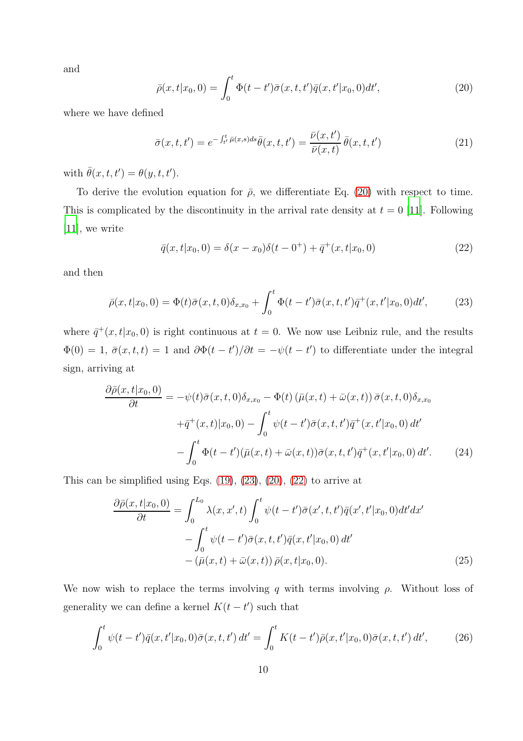and

<span id="page-9-0"></span>
$$
\bar{\rho}(x,t|x_0,0) = \int_0^t \Phi(t-t')\bar{\sigma}(x,t,t')\bar{q}(x,t'|x_0,0)dt',
$$
\n(20)

where we have defined

$$
\bar{\sigma}(x,t,t') = e^{-\int_{t'}^t \bar{\mu}(x,s)ds} \bar{\theta}(x,t,t') = \frac{\bar{\nu}(x,t')}{\bar{\nu}(x,t)} \bar{\theta}(x,t,t')
$$
(21)

with  $\bar{\theta}(x, t, t') = \theta(y, t, t').$ 

To derive the evolution equation for  $\bar{\rho}$ , we differentiate Eq. [\(20\)](#page-9-0) with respect to time. This is complicated by the discontinuity in the arrival rate density at  $t = 0$  [\[11\]](#page-35-2). Following [\[11\]](#page-35-2), we write

<span id="page-9-2"></span>
$$
\bar{q}(x,t|x_0,0) = \delta(x-x_0)\delta(t-0^+) + \bar{q}^+(x,t|x_0,0)
$$
\n(22)

and then

<span id="page-9-1"></span>
$$
\bar{\rho}(x,t|x_0,0) = \Phi(t)\bar{\sigma}(x,t,0)\delta_{x,x_0} + \int_0^t \Phi(t-t')\bar{\sigma}(x,t,t')\bar{q}^+(x,t'|x_0,0)dt',\tag{23}
$$

where  $\bar{q}^+(x,t|x_0,0)$  is right continuous at  $t=0$ . We now use Leibniz rule, and the results  $\Phi(0) = 1, \bar{\sigma}(x, t, t) = 1$  and  $\partial \Phi(t - t')/\partial t = -\psi(t - t')$  to differentiate under the integral sign, arriving at

$$
\frac{\partial \bar{\rho}(x,t|x_0,0)}{\partial t} = -\psi(t)\bar{\sigma}(x,t,0)\delta_{x,x_0} - \Phi(t) (\bar{\mu}(x,t) + \bar{\omega}(x,t)) \bar{\sigma}(x,t,0)\delta_{x,x_0} \n+ \bar{q}^+(x,t)|x_0,0) - \int_0^t \psi(t-t')\bar{\sigma}(x,t,t')\bar{q}^+(x,t'|x_0,0) dt' \n- \int_0^t \Phi(t-t')(\bar{\mu}(x,t) + \bar{\omega}(x,t))\bar{\sigma}(x,t,t')\bar{q}^+(x,t'|x_0,0) dt'.
$$
\n(24)

This can be simplified using Eqs.  $(19)$ ,  $(23)$ ,  $(20)$ ,  $(22)$  to arrive at

<span id="page-9-3"></span>
$$
\frac{\partial \bar{\rho}(x,t|x_0,0)}{\partial t} = \int_0^{L_0} \lambda(x,x',t) \int_0^t \psi(t-t') \bar{\sigma}(x',t,t') \bar{q}(x',t'|x_0,0) dt' dx' \n- \int_0^t \psi(t-t') \bar{\sigma}(x,t,t') \bar{q}(x,t'|x_0,0) dt' \n- (\bar{\mu}(x,t) + \bar{\omega}(x,t)) \bar{\rho}(x,t|x_0,0).
$$
\n(25)

We now wish to replace the terms involving q with terms involving  $\rho$ . Without loss of generality we can define a kernel  $K(t-t')$  such that

<span id="page-9-4"></span>
$$
\int_0^t \psi(t - t')\bar{q}(x, t'|x_0, 0)\bar{\sigma}(x, t, t') dt' = \int_0^t K(t - t')\bar{\rho}(x, t'|x_0, 0)\bar{\sigma}(x, t, t') dt', \tag{26}
$$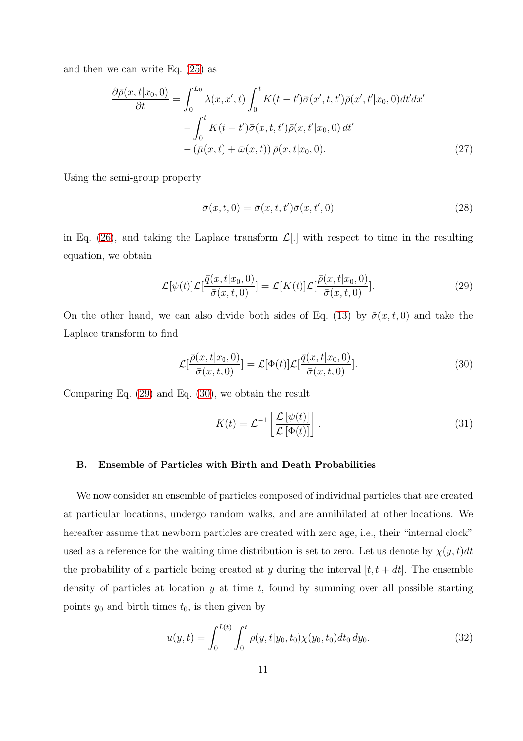and then we can write Eq. [\(25\)](#page-9-3) as

<span id="page-10-2"></span>
$$
\frac{\partial \bar{\rho}(x,t|x_0,0)}{\partial t} = \int_0^{L_0} \lambda(x,x',t) \int_0^t K(t-t') \bar{\sigma}(x',t,t') \bar{\rho}(x',t'|x_0,0) dt'dx' \n- \int_0^t K(t-t') \bar{\sigma}(x,t,t') \bar{\rho}(x,t'|x_0,0) dt' \n- (\bar{\mu}(x,t) + \bar{\omega}(x,t)) \bar{\rho}(x,t|x_0,0).
$$
\n(27)

Using the semi-group property

$$
\bar{\sigma}(x,t,0) = \bar{\sigma}(x,t,t')\bar{\sigma}(x,t',0)
$$
\n(28)

in Eq. [\(26\)](#page-9-4), and taking the Laplace transform  $\mathcal{L}[\cdot]$  with respect to time in the resulting equation, we obtain

<span id="page-10-0"></span>
$$
\mathcal{L}[\psi(t)]\mathcal{L}[\frac{\bar{q}(x,t|x_0,0)}{\bar{\sigma}(x,t,0)}] = \mathcal{L}[K(t)]\mathcal{L}[\frac{\bar{\rho}(x,t|x_0,0)}{\bar{\sigma}(x,t,0)}].
$$
\n(29)

On the other hand, we can also divide both sides of Eq. [\(13\)](#page-7-1) by  $\bar{\sigma}(x, t, 0)$  and take the Laplace transform to find

<span id="page-10-1"></span>
$$
\mathcal{L}[\frac{\bar{\rho}(x,t|x_0,0)}{\bar{\sigma}(x,t,0)}] = \mathcal{L}[\Phi(t)]\mathcal{L}[\frac{\bar{q}(x,t|x_0,0)}{\bar{\sigma}(x,t,0)}].
$$
\n(30)

Comparing Eq. [\(29\)](#page-10-0) and Eq. [\(30\)](#page-10-1), we obtain the result

<span id="page-10-3"></span>
$$
K(t) = \mathcal{L}^{-1} \left[ \frac{\mathcal{L} \left[ \psi(t) \right]}{\mathcal{L} \left[ \Phi(t) \right]} \right]. \tag{31}
$$

#### B. Ensemble of Particles with Birth and Death Probabilities

We now consider an ensemble of particles composed of individual particles that are created at particular locations, undergo random walks, and are annihilated at other locations. We hereafter assume that newborn particles are created with zero age, i.e., their "internal clock" used as a reference for the waiting time distribution is set to zero. Let us denote by  $\chi(y, t)dt$ the probability of a particle being created at y during the interval  $[t, t + dt]$ . The ensemble density of particles at location  $y$  at time  $t$ , found by summing over all possible starting points  $y_0$  and birth times  $t_0$ , is then given by

$$
u(y,t) = \int_0^{L(t)} \int_0^t \rho(y,t|y_0,t_0) \chi(y_0,t_0) dt_0 dy_0.
$$
 (32)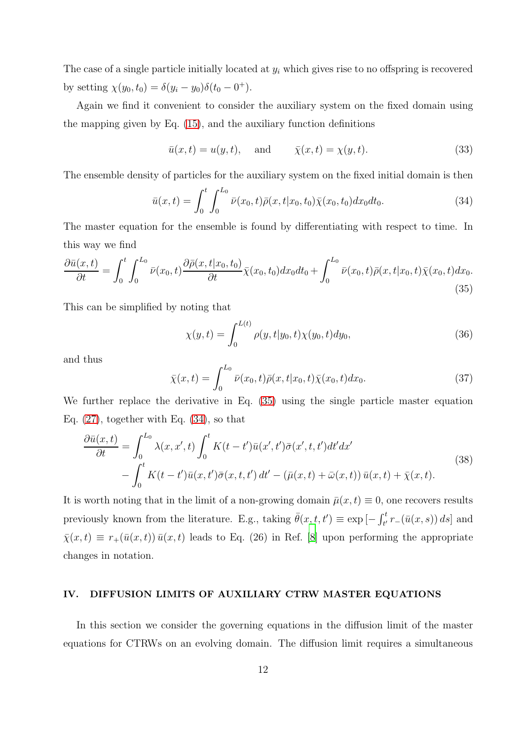The case of a single particle initially located at  $y_i$  which gives rise to no offspring is recovered by setting  $\chi(y_0, t_0) = \delta(y_i - y_0)\delta(t_0 - 0^+).$ 

Again we find it convenient to consider the auxiliary system on the fixed domain using the mapping given by Eq. [\(15\)](#page-8-1), and the auxiliary function definitions

$$
\bar{u}(x,t) = u(y,t), \quad \text{and} \quad \bar{\chi}(x,t) = \chi(y,t). \tag{33}
$$

The ensemble density of particles for the auxiliary system on the fixed initial domain is then

<span id="page-11-1"></span>
$$
\bar{u}(x,t) = \int_0^t \int_0^{L_0} \bar{\nu}(x_0,t)\bar{\rho}(x,t|x_0,t_0)\bar{\chi}(x_0,t_0)dx_0dt_0.
$$
\n(34)

The master equation for the ensemble is found by differentiating with respect to time. In this way we find

<span id="page-11-0"></span>
$$
\frac{\partial \bar{u}(x,t)}{\partial t} = \int_0^t \int_0^{L_0} \bar{\nu}(x_0, t) \frac{\partial \bar{\rho}(x, t | x_0, t_0)}{\partial t} \bar{\chi}(x_0, t_0) dx_0 dt_0 + \int_0^{L_0} \bar{\nu}(x_0, t) \bar{\rho}(x, t | x_0, t) \bar{\chi}(x_0, t) dx_0.
$$
\n(35)

This can be simplified by noting that

$$
\chi(y,t) = \int_0^{L(t)} \rho(y,t|y_0,t)\chi(y_0,t)dy_0,
$$
\n(36)

and thus

$$
\bar{\chi}(x,t) = \int_0^{L_0} \bar{\nu}(x_0,t)\bar{\rho}(x,t|x_0,t)\bar{\chi}(x_0,t)dx_0.
$$
\n(37)

We further replace the derivative in Eq.  $(35)$  using the single particle master equation Eq.  $(27)$ , together with Eq.  $(34)$ , so that

<span id="page-11-2"></span>
$$
\frac{\partial \bar{u}(x,t)}{\partial t} = \int_0^{L_0} \lambda(x,x',t) \int_0^t K(t-t')\bar{u}(x',t')\bar{\sigma}(x',t,t')dt'dx' \n- \int_0^t K(t-t')\bar{u}(x,t')\bar{\sigma}(x,t,t') dt' - (\bar{\mu}(x,t) + \bar{\omega}(x,t))\bar{u}(x,t) + \bar{\chi}(x,t).
$$
\n(38)

It is worth noting that in the limit of a non-growing domain  $\bar{\mu}(x, t) \equiv 0$ , one recovers results previously known from the literature. E.g., taking  $\bar{\theta}(x,t,t') \equiv \exp[-\int_{t'}^{t} r_{-}(\bar{u}(x,s)) ds]$  and  $\bar{\chi}(x, t) \equiv r_+(\bar{u}(x, t)) \bar{u}(x, t)$  leads to Eq. (26) in Ref. [\[8\]](#page-35-4) upon performing the appropriate changes in notation.

#### <span id="page-11-3"></span>IV. DIFFUSION LIMITS OF AUXILIARY CTRW MASTER EQUATIONS

In this section we consider the governing equations in the diffusion limit of the master equations for CTRWs on an evolving domain. The diffusion limit requires a simultaneous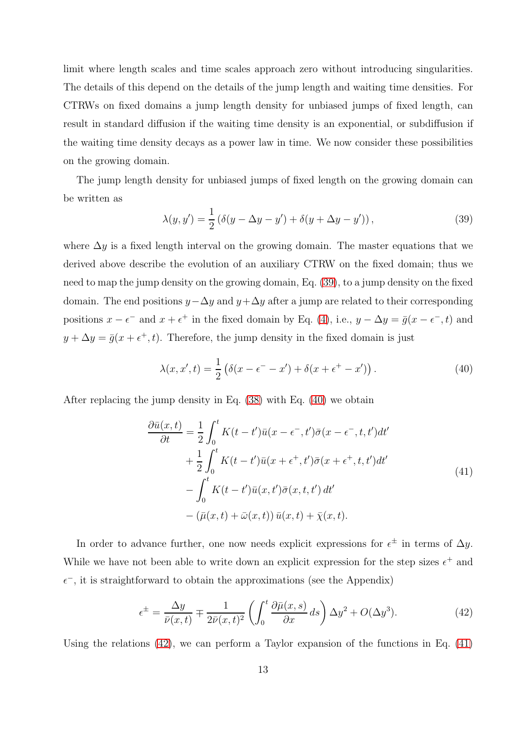limit where length scales and time scales approach zero without introducing singularities. The details of this depend on the details of the jump length and waiting time densities. For CTRWs on fixed domains a jump length density for unbiased jumps of fixed length, can result in standard diffusion if the waiting time density is an exponential, or subdiffusion if the waiting time density decays as a power law in time. We now consider these possibilities on the growing domain.

The jump length density for unbiased jumps of fixed length on the growing domain can be written as

<span id="page-12-0"></span>
$$
\lambda(y, y') = \frac{1}{2} \left( \delta(y - \Delta y - y') + \delta(y + \Delta y - y') \right),\tag{39}
$$

where  $\Delta y$  is a fixed length interval on the growing domain. The master equations that we derived above describe the evolution of an auxiliary CTRW on the fixed domain; thus we need to map the jump density on the growing domain, Eq. [\(39\)](#page-12-0), to a jump density on the fixed domain. The end positions  $y-\Delta y$  and  $y+\Delta y$  after a jump are related to their corresponding positions  $x - \epsilon^-$  and  $x + \epsilon^+$  in the fixed domain by Eq. [\(4\)](#page-4-1), i.e.,  $y - \Delta y = \bar{g}(x - \epsilon^-, t)$  and  $y + \Delta y = \bar{g}(x + \epsilon^+, t)$ . Therefore, the jump density in the fixed domain is just

<span id="page-12-1"></span>
$$
\lambda(x, x', t) = \frac{1}{2} \left( \delta(x - \epsilon^+ - x') + \delta(x + \epsilon^+ - x') \right). \tag{40}
$$

<span id="page-12-3"></span>After replacing the jump density in Eq. [\(38\)](#page-11-2) with Eq. [\(40\)](#page-12-1) we obtain

$$
\frac{\partial \bar{u}(x,t)}{\partial t} = \frac{1}{2} \int_0^t K(t-t') \bar{u}(x - \epsilon^-, t') \bar{\sigma}(x - \epsilon^-, t, t') dt' \n+ \frac{1}{2} \int_0^t K(t-t') \bar{u}(x + \epsilon^+, t') \bar{\sigma}(x + \epsilon^+, t, t') dt' \n- \int_0^t K(t-t') \bar{u}(x, t') \bar{\sigma}(x, t, t') dt' \n- (\bar{\mu}(x, t) + \bar{\omega}(x, t)) \bar{u}(x, t) + \bar{\chi}(x, t).
$$
\n(41)

In order to advance further, one now needs explicit expressions for  $\epsilon^{\pm}$  in terms of  $\Delta y$ . While we have not been able to write down an explicit expression for the step sizes  $\epsilon^+$  and  $\epsilon^{-}$ , it is straightforward to obtain the approximations (see the Appendix)

<span id="page-12-2"></span>
$$
\epsilon^{\pm} = \frac{\Delta y}{\bar{\nu}(x,t)} \mp \frac{1}{2\bar{\nu}(x,t)^2} \left( \int_0^t \frac{\partial \bar{\mu}(x,s)}{\partial x} ds \right) \Delta y^2 + O(\Delta y^3). \tag{42}
$$

Using the relations  $(42)$ , we can perform a Taylor expansion of the functions in Eq.  $(41)$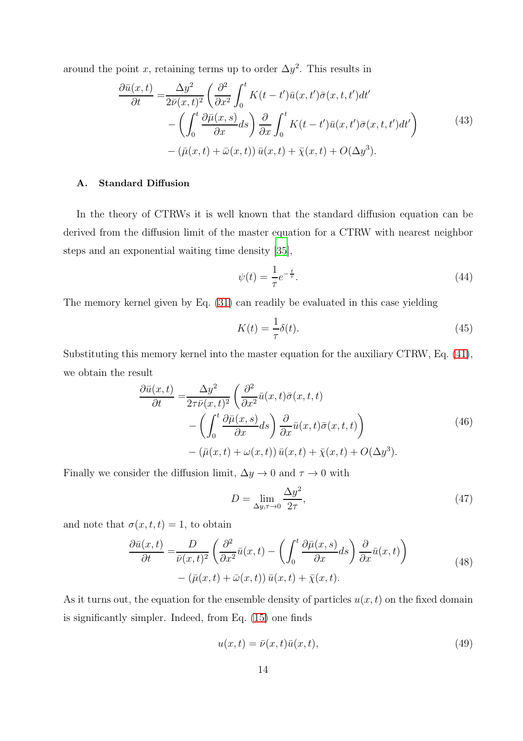around the point x, retaining terms up to order  $\Delta y^2$ . This results in

$$
\frac{\partial \bar{u}(x,t)}{\partial t} = \frac{\Delta y^2}{2\bar{\nu}(x,t)^2} \left( \frac{\partial^2}{\partial x^2} \int_0^t K(t-t') \bar{u}(x,t') \bar{\sigma}(x,t,t') dt' - \left( \int_0^t \frac{\partial \bar{\mu}(x,s)}{\partial x} ds \right) \frac{\partial}{\partial x} \int_0^t K(t-t') \bar{u}(x,t') \bar{\sigma}(x,t,t') dt' \right) - (\bar{\mu}(x,t) + \bar{\omega}(x,t)) \bar{u}(x,t) + \bar{\chi}(x,t) + O(\Delta y^3).
$$
\n(43)

# A. Standard Diffusion

In the theory of CTRWs it is well known that the standard diffusion equation can be derived from the diffusion limit of the master equation for a CTRW with nearest neighbor steps and an exponential waiting time density [\[35\]](#page-37-4),

$$
\psi(t) = \frac{1}{\tau} e^{-\frac{t}{\tau}}.\tag{44}
$$

The memory kernel given by Eq. [\(31\)](#page-10-3) can readily be evaluated in this case yielding

$$
K(t) = \frac{1}{\tau} \delta(t). \tag{45}
$$

Substituting this memory kernel into the master equation for the auxiliary CTRW, Eq. [\(41\)](#page-12-3), we obtain the result

$$
\frac{\partial \bar{u}(x,t)}{\partial t} = \frac{\Delta y^2}{2\tau \bar{\nu}(x,t)^2} \left( \frac{\partial^2}{\partial x^2} \bar{u}(x,t) \bar{\sigma}(x,t,t) - \left( \int_0^t \frac{\partial \bar{\mu}(x,s)}{\partial x} ds \right) \frac{\partial}{\partial x} \bar{u}(x,t) \bar{\sigma}(x,t,t) \right) - (\bar{\mu}(x,t) + \omega(x,t)) \bar{u}(x,t) + \bar{\chi}(x,t) + O(\Delta y^3).
$$
\n(46)

<span id="page-13-1"></span>Finally we consider the diffusion limit,  $\Delta y \rightarrow 0$  and  $\tau \rightarrow 0$  with

$$
D = \lim_{\Delta y, \tau \to 0} \frac{\Delta y^2}{2\tau},\tag{47}
$$

<span id="page-13-0"></span>and note that  $\sigma(x, t, t) = 1$ , to obtain

$$
\frac{\partial \bar{u}(x,t)}{\partial t} = \frac{D}{\bar{\nu}(x,t)^2} \left( \frac{\partial^2}{\partial x^2} \bar{u}(x,t) - \left( \int_0^t \frac{\partial \bar{\mu}(x,s)}{\partial x} ds \right) \frac{\partial}{\partial x} \bar{u}(x,t) \right) - (\bar{\mu}(x,t) + \bar{\omega}(x,t)) \bar{u}(x,t) + \bar{\chi}(x,t).
$$
\n(48)

As it turns out, the equation for the ensemble density of particles  $u(x, t)$  on the fixed domain is significantly simpler. Indeed, from Eq. [\(15\)](#page-8-1) one finds

$$
u(x,t) = \bar{\nu}(x,t)\bar{u}(x,t),\tag{49}
$$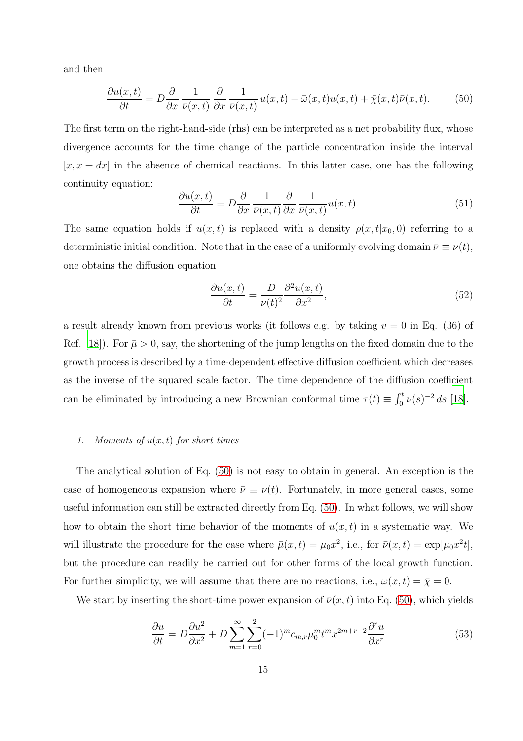and then

<span id="page-14-0"></span>
$$
\frac{\partial u(x,t)}{\partial t} = D \frac{\partial}{\partial x} \frac{1}{\bar{\nu}(x,t)} \frac{\partial}{\partial x} \frac{1}{\bar{\nu}(x,t)} u(x,t) - \bar{\omega}(x,t) u(x,t) + \bar{\chi}(x,t) \bar{\nu}(x,t). \tag{50}
$$

The first term on the right-hand-side (rhs) can be interpreted as a net probability flux, whose divergence accounts for the time change of the particle concentration inside the interval  $[x, x + dx]$  in the absence of chemical reactions. In this latter case, one has the following continuity equation:

<span id="page-14-1"></span>
$$
\frac{\partial u(x,t)}{\partial t} = D \frac{\partial}{\partial x} \frac{1}{\bar{\nu}(x,t)} \frac{\partial}{\partial x} \frac{1}{\bar{\nu}(x,t)} u(x,t).
$$
 (51)

The same equation holds if  $u(x, t)$  is replaced with a density  $\rho(x, t|x_0, 0)$  referring to a deterministic initial condition. Note that in the case of a uniformly evolving domain  $\bar{\nu} \equiv \nu(t)$ , one obtains the diffusion equation

<span id="page-14-2"></span>
$$
\frac{\partial u(x,t)}{\partial t} = \frac{D}{\nu(t)^2} \frac{\partial^2 u(x,t)}{\partial x^2},\tag{52}
$$

a result already known from previous works (it follows e.g. by taking  $v = 0$  in Eq. (36) of Ref. [\[18\]](#page-36-4)). For  $\bar{\mu} > 0$ , say, the shortening of the jump lengths on the fixed domain due to the growth process is described by a time-dependent effective diffusion coefficient which decreases as the inverse of the squared scale factor. The time dependence of the diffusion coefficient can be eliminated by introducing a new Brownian conformal time  $\tau(t) \equiv \int_0^t \nu(s)^{-2} ds$  [\[18](#page-36-4)].

# <span id="page-14-3"></span>1. Moments of  $u(x, t)$  for short times

The analytical solution of Eq. [\(50\)](#page-14-0) is not easy to obtain in general. An exception is the case of homogeneous expansion where  $\bar{\nu} \equiv \nu(t)$ . Fortunately, in more general cases, some useful information can still be extracted directly from Eq. [\(50\)](#page-14-0). In what follows, we will show how to obtain the short time behavior of the moments of  $u(x, t)$  in a systematic way. We will illustrate the procedure for the case where  $\bar{\mu}(x,t) = \mu_0 x^2$ , i.e., for  $\bar{\nu}(x,t) = \exp[\mu_0 x^2 t]$ , but the procedure can readily be carried out for other forms of the local growth function. For further simplicity, we will assume that there are no reactions, i.e.,  $\omega(x, t) = \overline{\chi} = 0$ .

We start by inserting the short-time power expansion of  $\bar{\nu}(x,t)$  into Eq. [\(50\)](#page-14-0), which yields

$$
\frac{\partial u}{\partial t} = D \frac{\partial u^2}{\partial x^2} + D \sum_{m=1}^{\infty} \sum_{r=0}^{2} (-1)^m c_{m,r} \mu_0^m t^m x^{2m+r-2} \frac{\partial^r u}{\partial x^r}
$$
(53)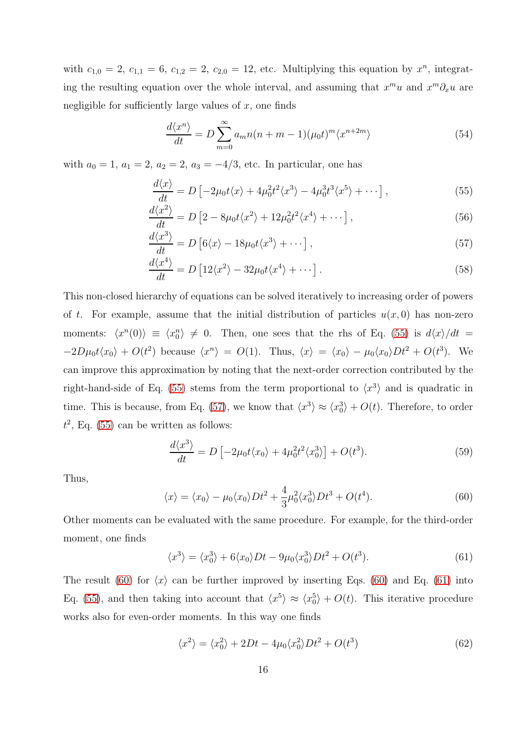with  $c_{1,0} = 2, c_{1,1} = 6, c_{1,2} = 2, c_{2,0} = 12$ , etc. Multiplying this equation by  $x^n$ , integrating the resulting equation over the whole interval, and assuming that  $x^m u$  and  $x^m \partial_x u$  are negligible for sufficiently large values of  $x$ , one finds

<span id="page-15-7"></span><span id="page-15-5"></span><span id="page-15-0"></span>
$$
\frac{d\langle x^n\rangle}{dt} = D \sum_{m=0}^{\infty} a_m n(n+m-1) (\mu_0 t)^m \langle x^{n+2m} \rangle \tag{54}
$$

with  $a_0 = 1$ ,  $a_1 = 2$ ,  $a_2 = 2$ ,  $a_3 = -4/3$ , etc. In particular, one has

<span id="page-15-1"></span>
$$
\frac{d\langle x\rangle}{dt} = D \left[ -2\mu_0 t \langle x \rangle + 4\mu_0^2 t^2 \langle x^3 \rangle - 4\mu_0^3 t^3 \langle x^5 \rangle + \cdots \right],\tag{55}
$$

$$
\frac{d\langle x^2\rangle}{dt} = D\left[2 - 8\mu_0 t \langle x^2 \rangle + 12\mu_0^2 t^2 \langle x^4 \rangle + \cdots\right],\tag{56}
$$

$$
\frac{d\langle x^3\rangle}{dt} = D\left[6\langle x\rangle - 18\mu_0 t\langle x^3\rangle + \cdots\right],\tag{57}
$$

<span id="page-15-6"></span>
$$
\frac{d\langle x^4\rangle}{dt} = D\left[12\langle x^2\rangle - 32\mu_0 t\langle x^4\rangle + \cdots\right].\tag{58}
$$

This non-closed hierarchy of equations can be solved iteratively to increasing order of powers of t. For example, assume that the initial distribution of particles  $u(x, 0)$  has non-zero moments:  $\langle x^n(0)\rangle \equiv \langle x_0^n \rangle \neq 0$ . Then, one sees that the rhs of Eq. [\(55\)](#page-15-0) is  $d\langle x\rangle/dt =$  $-2D\mu_0 t \langle x_0 \rangle + O(t^2)$  because  $\langle x^n \rangle = O(1)$ . Thus,  $\langle x \rangle = \langle x_0 \rangle - \mu_0 \langle x_0 \rangle Dt^2 + O(t^3)$ . We can improve this approximation by noting that the next-order correction contributed by the right-hand-side of Eq. [\(55\)](#page-15-0) stems from the term proportional to  $\langle x^3 \rangle$  and is quadratic in time. This is because, from Eq. [\(57\)](#page-15-1), we know that  $\langle x^3 \rangle \approx \langle x_0^3 \rangle + O(t)$ . Therefore, to order  $t^2$ , Eq. [\(55\)](#page-15-0) can be written as follows:

$$
\frac{d\langle x^3\rangle}{dt} = D \left[ -2\mu_0 t \langle x_0 \rangle + 4\mu_0^2 t^2 \langle x_0^3 \rangle \right] + O(t^3). \tag{59}
$$

Thus,

<span id="page-15-2"></span>
$$
\langle x \rangle = \langle x_0 \rangle - \mu_0 \langle x_0 \rangle D t^2 + \frac{4}{3} \mu_0^2 \langle x_0^3 \rangle D t^3 + O(t^4). \tag{60}
$$

Other moments can be evaluated with the same procedure. For example, for the third-order moment, one finds

<span id="page-15-3"></span>
$$
\langle x^3 \rangle = \langle x_0^3 \rangle + 6 \langle x_0 \rangle Dt - 9\mu_0 \langle x_0^3 \rangle Dt^2 + O(t^3). \tag{61}
$$

The result [\(60\)](#page-15-2) for  $\langle x \rangle$  can be further improved by inserting Eqs. (60) and Eq. [\(61\)](#page-15-3) into Eq. [\(55\)](#page-15-0), and then taking into account that  $\langle x^5 \rangle \approx \langle x_0^5 \rangle + O(t)$ . This iterative procedure works also for even-order moments. In this way one finds

<span id="page-15-4"></span>
$$
\langle x^2 \rangle = \langle x_0^2 \rangle + 2Dt - 4\mu_0 \langle x_0^2 \rangle Dt^2 + O(t^3)
$$
\n(62)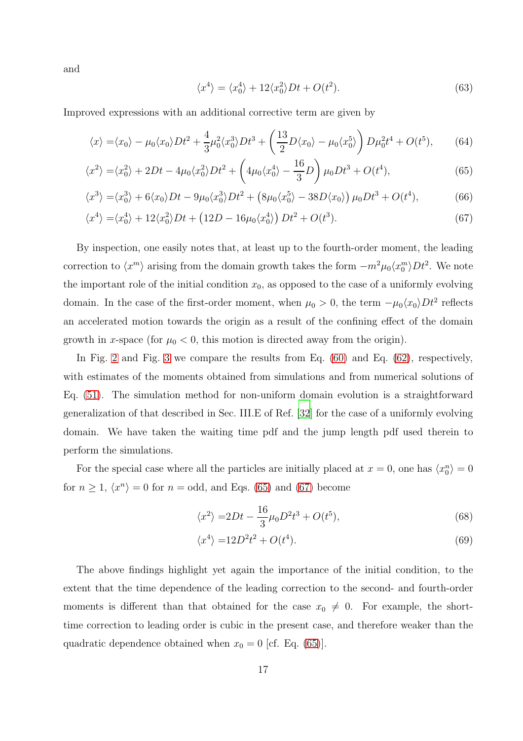and

<span id="page-16-4"></span><span id="page-16-1"></span><span id="page-16-0"></span>
$$
\langle x^4 \rangle = \langle x_0^4 \rangle + 12 \langle x_0^2 \rangle Dt + O(t^2). \tag{63}
$$

Improved expressions with an additional corrective term are given by

$$
\langle x \rangle = \langle x_0 \rangle - \mu_0 \langle x_0 \rangle Dt^2 + \frac{4}{3} \mu_0^2 \langle x_0^3 \rangle Dt^3 + \left(\frac{13}{2}D \langle x_0 \rangle - \mu_0 \langle x_0^5 \rangle \right) D \mu_0^2 t^4 + O(t^5), \tag{64}
$$

$$
\langle x^2 \rangle = \langle x_0^2 \rangle + 2Dt - 4\mu_0 \langle x_0^2 \rangle Dt^2 + \left( 4\mu_0 \langle x_0^4 \rangle - \frac{16}{3}D \right) \mu_0 Dt^3 + O(t^4),\tag{65}
$$

$$
\langle x^3 \rangle = \langle x_0^3 \rangle + 6 \langle x_0 \rangle Dt - 9\mu_0 \langle x_0^3 \rangle Dt^2 + \left( 8\mu_0 \langle x_0^5 \rangle - 38D \langle x_0 \rangle \right) \mu_0 Dt^3 + O(t^4),\tag{66}
$$

$$
\langle x^4 \rangle = \langle x_0^4 \rangle + 12 \langle x_0^2 \rangle Dt + \left( 12D - 16\mu_0 \langle x_0^4 \rangle \right) Dt^2 + O(t^3). \tag{67}
$$

By inspection, one easily notes that, at least up to the fourth-order moment, the leading correction to  $\langle x^m \rangle$  arising from the domain growth takes the form  $-m^2\mu_0\langle x_0^m \rangle Dt^2$ . We note the important role of the initial condition  $x_0$ , as opposed to the case of a uniformly evolving domain. In the case of the first-order moment, when  $\mu_0 > 0$ , the term  $-\mu_0 \langle x_0 \rangle Dt^2$  reflects an accelerated motion towards the origin as a result of the confining effect of the domain growth in x-space (for  $\mu_0 < 0$ , this motion is directed away from the origin).

In Fig. [2](#page-17-0) and Fig. [3](#page-17-1) we compare the results from Eq. [\(60\)](#page-15-2) and Eq. [\(62\)](#page-15-4), respectively, with estimates of the moments obtained from simulations and from numerical solutions of Eq. [\(51\)](#page-14-1). The simulation method for non-uniform domain evolution is a straightforward generalization of that described in Sec. III.E of Ref. [\[32\]](#page-37-1) for the case of a uniformly evolving domain. We have taken the waiting time pdf and the jump length pdf used therein to perform the simulations.

For the special case where all the particles are initially placed at  $x = 0$ , one has  $\langle x_0^n \rangle = 0$ for  $n \geq 1$ ,  $\langle x^n \rangle = 0$  for  $n =$  odd, and Eqs. [\(65\)](#page-16-0) and [\(67\)](#page-16-1) become

<span id="page-16-2"></span>
$$
\langle x^2 \rangle = 2Dt - \frac{16}{3}\mu_0 D^2 t^3 + O(t^5),\tag{68}
$$

<span id="page-16-3"></span>
$$
\langle x^4 \rangle = 12D^2t^2 + O(t^4). \tag{69}
$$

The above findings highlight yet again the importance of the initial condition, to the extent that the time dependence of the leading correction to the second- and fourth-order moments is different than that obtained for the case  $x_0 \neq 0$ . For example, the shorttime correction to leading order is cubic in the present case, and therefore weaker than the quadratic dependence obtained when  $x_0 = 0$  [cf. Eq. [\(65\)](#page-16-0)].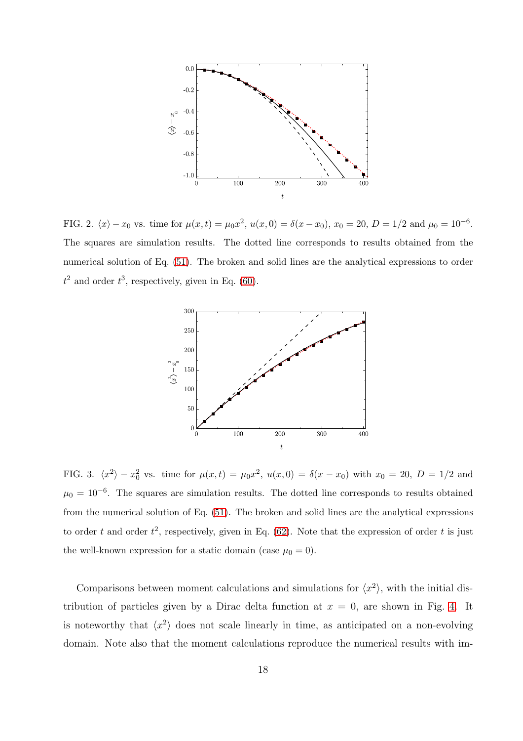

<span id="page-17-0"></span>FIG. 2.  $\langle x \rangle - x_0$  vs. time for  $\mu(x,t) = \mu_0 x^2$ ,  $u(x,0) = \delta(x-x_0)$ ,  $x_0 = 20$ ,  $D = 1/2$  and  $\mu_0 = 10^{-6}$ . The squares are simulation results. The dotted line corresponds to results obtained from the numerical solution of Eq. [\(51\)](#page-14-1). The broken and solid lines are the analytical expressions to order  $t^2$  and order  $t^3$ , respectively, given in Eq. [\(60\)](#page-15-2).



<span id="page-17-1"></span>FIG. 3.  $\langle x^2 \rangle - x_0^2$  vs. time for  $\mu(x,t) = \mu_0 x^2$ ,  $u(x,0) = \delta(x-x_0)$  with  $x_0 = 20$ ,  $D = 1/2$  and  $\mu_0 = 10^{-6}$ . The squares are simulation results. The dotted line corresponds to results obtained from the numerical solution of Eq. [\(51\)](#page-14-1). The broken and solid lines are the analytical expressions to order t and order  $t^2$ , respectively, given in Eq. [\(62\)](#page-15-4). Note that the expression of order t is just the well-known expression for a static domain (case  $\mu_0 = 0$ ).

Comparisons between moment calculations and simulations for  $\langle x^2 \rangle$ , with the initial distribution of particles given by a Dirac delta function at  $x = 0$ , are shown in Fig. [4.](#page-18-0) It is noteworthy that  $\langle x^2 \rangle$  does not scale linearly in time, as anticipated on a non-evolving domain. Note also that the moment calculations reproduce the numerical results with im-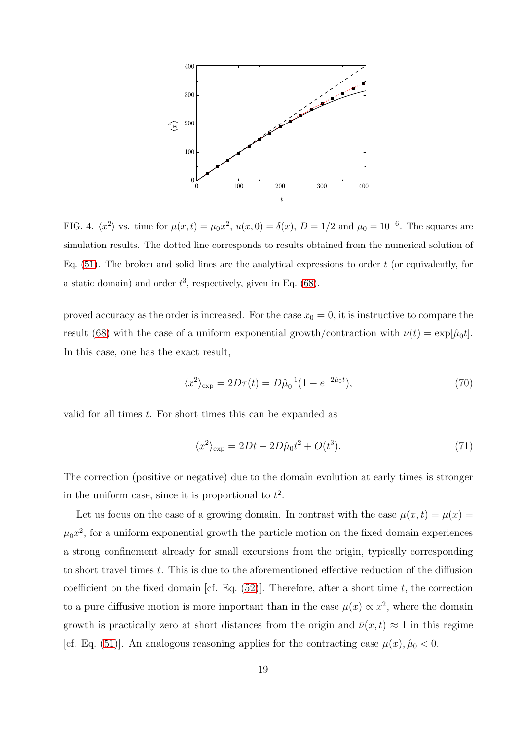

<span id="page-18-0"></span>FIG. 4.  $\langle x^2 \rangle$  vs. time for  $\mu(x,t) = \mu_0 x^2$ ,  $u(x,0) = \delta(x)$ ,  $D = 1/2$  and  $\mu_0 = 10^{-6}$ . The squares are simulation results. The dotted line corresponds to results obtained from the numerical solution of Eq.  $(51)$ . The broken and solid lines are the analytical expressions to order t (or equivalently, for a static domain) and order  $t^3$ , respectively, given in Eq. [\(68\)](#page-16-2).

proved accuracy as the order is increased. For the case  $x_0 = 0$ , it is instructive to compare the result [\(68\)](#page-16-2) with the case of a uniform exponential growth/contraction with  $\nu(t) = \exp[\hat{\mu}_0 t]$ . In this case, one has the exact result,

$$
\langle x^2 \rangle_{\text{exp}} = 2D\tau(t) = D\hat{\mu}_0^{-1} (1 - e^{-2\hat{\mu}_0 t}), \tag{70}
$$

valid for all times t. For short times this can be expanded as

$$
\langle x^2 \rangle_{\text{exp}} = 2Dt - 2D\hat{\mu}_0 t^2 + O(t^3). \tag{71}
$$

The correction (positive or negative) due to the domain evolution at early times is stronger in the uniform case, since it is proportional to  $t^2$ .

Let us focus on the case of a growing domain. In contrast with the case  $\mu(x, t) = \mu(x)$  $\mu_0 x^2$ , for a uniform exponential growth the particle motion on the fixed domain experiences a strong confinement already for small excursions from the origin, typically corresponding to short travel times t. This is due to the aforementioned effective reduction of the diffusion coefficient on the fixed domain [cf. Eq.  $(52)$ ]. Therefore, after a short time t, the correction to a pure diffusive motion is more important than in the case  $\mu(x) \propto x^2$ , where the domain growth is practically zero at short distances from the origin and  $\bar{\nu}(x, t) \approx 1$  in this regime [cf. Eq. [\(51\)](#page-14-1)]. An analogous reasoning applies for the contracting case  $\mu(x), \hat{\mu}_0 < 0$ .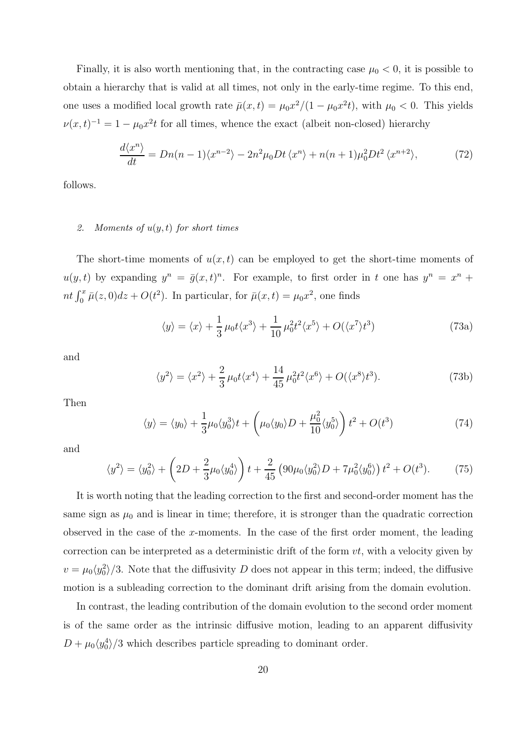Finally, it is also worth mentioning that, in the contracting case  $\mu_0 < 0$ , it is possible to obtain a hierarchy that is valid at all times, not only in the early-time regime. To this end, one uses a modified local growth rate  $\bar{\mu}(x,t) = \mu_0 x^2/(1 - \mu_0 x^2 t)$ , with  $\mu_0 < 0$ . This yields  $\nu(x,t)^{-1} = 1 - \mu_0 x^2 t$  for all times, whence the exact (albeit non-closed) hierarchy

$$
\frac{d\langle x^n\rangle}{dt} = Dn(n-1)\langle x^{n-2}\rangle - 2n^2\mu_0 Dt \langle x^n\rangle + n(n+1)\mu_0^2 Dt^2 \langle x^{n+2}\rangle,\tag{72}
$$

follows.

# 2. Moments of  $u(y, t)$  for short times

The short-time moments of  $u(x, t)$  can be employed to get the short-time moments of  $u(y, t)$  by expanding  $y^n = \bar{g}(x, t)^n$ . For example, to first order in t one has  $y^n = x^n +$ nt  $\int_0^x \bar{\mu}(z,0)dz + O(t^2)$ . In particular, for  $\bar{\mu}(x,t) = \mu_0 x^2$ , one finds

<span id="page-19-3"></span>
$$
\langle y \rangle = \langle x \rangle + \frac{1}{3} \mu_0 t \langle x^3 \rangle + \frac{1}{10} \mu_0^2 t^2 \langle x^5 \rangle + O(\langle x^7 \rangle t^3)
$$
 (73a)

and

<span id="page-19-2"></span>
$$
\langle y^2 \rangle = \langle x^2 \rangle + \frac{2}{3} \mu_0 t \langle x^4 \rangle + \frac{14}{45} \mu_0^2 t^2 \langle x^6 \rangle + O(\langle x^8 \rangle t^3). \tag{73b}
$$

Then

<span id="page-19-0"></span>
$$
\langle y \rangle = \langle y_0 \rangle + \frac{1}{3} \mu_0 \langle y_0^3 \rangle t + \left( \mu_0 \langle y_0 \rangle D + \frac{\mu_0^2}{10} \langle y_0^5 \rangle \right) t^2 + O(t^3)
$$
 (74)

and

<span id="page-19-1"></span>
$$
\langle y^2 \rangle = \langle y_0^2 \rangle + \left(2D + \frac{2}{3}\mu_0 \langle y_0^4 \rangle \right) t + \frac{2}{45} \left(90\mu_0 \langle y_0^2 \rangle D + 7\mu_0^2 \langle y_0^6 \rangle \right) t^2 + O(t^3). \tag{75}
$$

It is worth noting that the leading correction to the first and second-order moment has the same sign as  $\mu_0$  and is linear in time; therefore, it is stronger than the quadratic correction observed in the case of the x-moments. In the case of the first order moment, the leading correction can be interpreted as a deterministic drift of the form  $vt$ , with a velocity given by  $v = \mu_0 \langle y_0^2 \rangle /3$ . Note that the diffusivity D does not appear in this term; indeed, the diffusive motion is a subleading correction to the dominant drift arising from the domain evolution.

In contrast, the leading contribution of the domain evolution to the second order moment is of the same order as the intrinsic diffusive motion, leading to an apparent diffusivity  $D + \mu_0 \langle y_0^4 \rangle /3$  which describes particle spreading to dominant order.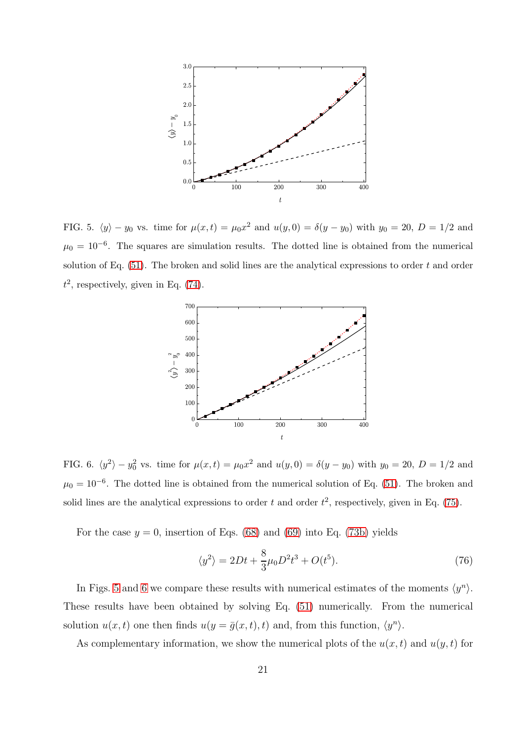

<span id="page-20-0"></span>FIG. 5.  $\langle y \rangle - y_0$  vs. time for  $\mu(x,t) = \mu_0 x^2$  and  $u(y, 0) = \delta(y - y_0)$  with  $y_0 = 20$ ,  $D = 1/2$  and  $\mu_0 = 10^{-6}$ . The squares are simulation results. The dotted line is obtained from the numerical solution of Eq.  $(51)$ . The broken and solid lines are the analytical expressions to order t and order  $t^2$ , respectively, given in Eq. [\(74\)](#page-19-0).



<span id="page-20-1"></span>FIG. 6.  $\langle y^2 \rangle - y_0^2$  vs. time for  $\mu(x,t) = \mu_0 x^2$  and  $u(y,0) = \delta(y - y_0)$  with  $y_0 = 20$ ,  $D = 1/2$  and  $\mu_0 = 10^{-6}$ . The dotted line is obtained from the numerical solution of Eq. [\(51\)](#page-14-1). The broken and solid lines are the analytical expressions to order t and order  $t^2$ , respectively, given in Eq. [\(75\)](#page-19-1).

For the case  $y = 0$ , insertion of Eqs. [\(68\)](#page-16-2) and [\(69\)](#page-16-3) into Eq. [\(73b\)](#page-19-2) yields

<span id="page-20-2"></span>
$$
\langle y^2 \rangle = 2Dt + \frac{8}{3}\mu_0 D^2 t^3 + O(t^5). \tag{76}
$$

In Figs. [5](#page-20-0) and [6](#page-20-1) we compare these results with numerical estimates of the moments  $\langle y^n \rangle$ . These results have been obtained by solving Eq. [\(51\)](#page-14-1) numerically. From the numerical solution  $u(x,t)$  one then finds  $u(y = \bar{g}(x,t), t)$  and, from this function,  $\langle y^n \rangle$ .

As complementary information, we show the numerical plots of the  $u(x, t)$  and  $u(y, t)$  for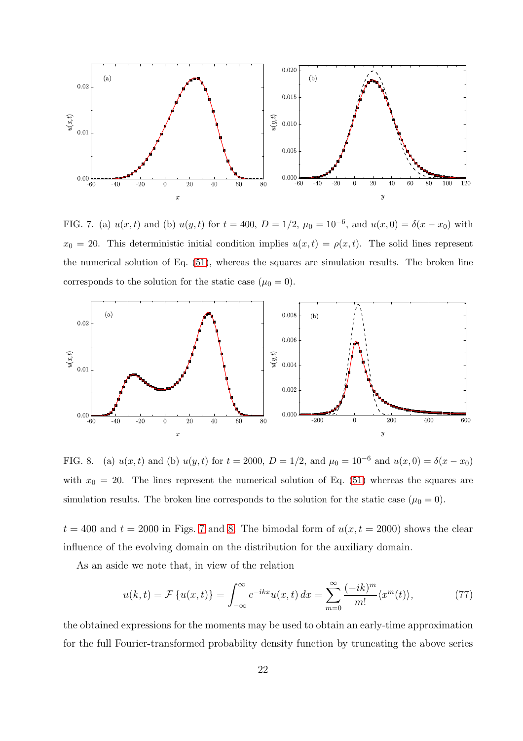

<span id="page-21-0"></span>FIG. 7. (a)  $u(x,t)$  and (b)  $u(y,t)$  for  $t = 400$ ,  $D = 1/2$ ,  $\mu_0 = 10^{-6}$ , and  $u(x,0) = \delta(x-x_0)$  with  $x_0 = 20$ . This deterministic initial condition implies  $u(x,t) = \rho(x,t)$ . The solid lines represent the numerical solution of Eq. [\(51\)](#page-14-1), whereas the squares are simulation results. The broken line corresponds to the solution for the static case  $(\mu_0 = 0)$ .



<span id="page-21-1"></span>FIG. 8. (a)  $u(x, t)$  and (b)  $u(y, t)$  for  $t = 2000$ ,  $D = 1/2$ , and  $\mu_0 = 10^{-6}$  and  $u(x, 0) = \delta(x - x_0)$ with  $x_0 = 20$ . The lines represent the numerical solution of Eq. [\(51\)](#page-14-1) whereas the squares are simulation results. The broken line corresponds to the solution for the static case  $(\mu_0 = 0)$ .

 $t = 400$  and  $t = 2000$  in Figs. [7](#page-21-0) and [8.](#page-21-1) The bimodal form of  $u(x, t = 2000)$  shows the clear influence of the evolving domain on the distribution for the auxiliary domain.

As an aside we note that, in view of the relation

$$
u(k,t) = \mathcal{F}\left\{u(x,t)\right\} = \int_{-\infty}^{\infty} e^{-ikx} u(x,t) dx = \sum_{m=0}^{\infty} \frac{(-ik)^m}{m!} \langle x^m(t) \rangle, \tag{77}
$$

the obtained expressions for the moments may be used to obtain an early-time approximation for the full Fourier-transformed probability density function by truncating the above series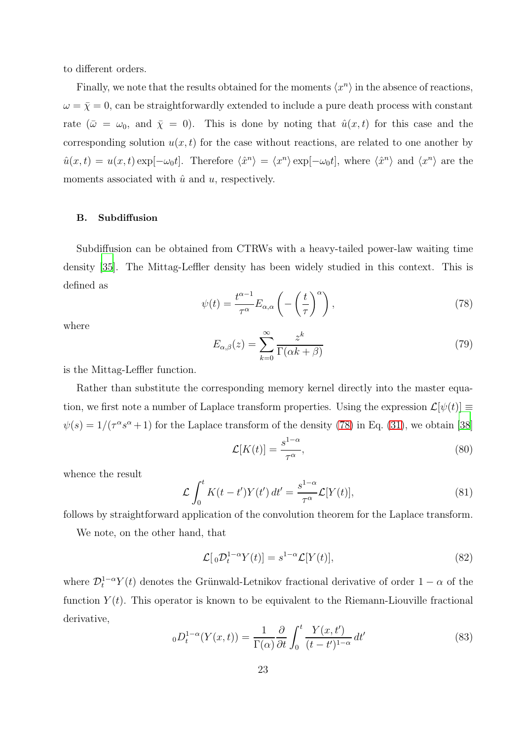to different orders.

Finally, we note that the results obtained for the moments  $\langle x^n \rangle$  in the absence of reactions,  $\omega = \bar{\chi} = 0$ , can be straightforwardly extended to include a pure death process with constant rate  $(\bar{\omega} = \omega_0, \text{ and } \bar{\chi} = 0)$ . This is done by noting that  $\hat{u}(x, t)$  for this case and the corresponding solution  $u(x, t)$  for the case without reactions, are related to one another by  $\hat{u}(x,t) = u(x,t) \exp[-\omega_0 t]$ . Therefore  $\langle \hat{x}^n \rangle = \langle x^n \rangle \exp[-\omega_0 t]$ , where  $\langle \hat{x}^n \rangle$  and  $\langle x^n \rangle$  are the moments associated with  $\hat{u}$  and  $u$ , respectively.

# B. Subdiffusion

Subdiffusion can be obtained from CTRWs with a heavy-tailed power-law waiting time density [\[35](#page-37-4)]. The Mittag-Leffler density has been widely studied in this context. This is defined as

<span id="page-22-0"></span>
$$
\psi(t) = \frac{t^{\alpha - 1}}{\tau^{\alpha}} E_{\alpha, \alpha} \left( -\left(\frac{t}{\tau}\right)^{\alpha} \right),\tag{78}
$$

where

$$
E_{\alpha,\beta}(z) = \sum_{k=0}^{\infty} \frac{z^k}{\Gamma(\alpha k + \beta)}
$$
(79)

is the Mittag-Leffler function.

Rather than substitute the corresponding memory kernel directly into the master equation, we first note a number of Laplace transform properties. Using the expression  $\mathcal{L}[\psi(t)] \equiv$  $\psi(s) = 1/(\tau^{\alpha}s^{\alpha}+1)$  for the Laplace transform of the density [\(78\)](#page-22-0) in Eq. [\(31\)](#page-10-3), we obtain [\[38\]](#page-37-7)

$$
\mathcal{L}[K(t)] = \frac{s^{1-\alpha}}{\tau^{\alpha}},\tag{80}
$$

whence the result

<span id="page-22-1"></span>
$$
\mathcal{L}\int_{0}^{t}K(t-t')Y(t')\,dt'=\frac{s^{1-\alpha}}{\tau^{\alpha}}\mathcal{L}[Y(t)],\tag{81}
$$

follows by straightforward application of the convolution theorem for the Laplace transform.

We note, on the other hand, that

<span id="page-22-2"></span>
$$
\mathcal{L}[{}_0\mathcal{D}_t^{1-\alpha}Y(t)] = s^{1-\alpha}\mathcal{L}[Y(t)],\tag{82}
$$

where  $\mathcal{D}_{t}^{1-\alpha}Y(t)$  denotes the Grünwald-Letnikov fractional derivative of order  $1-\alpha$  of the function  $Y(t)$ . This operator is known to be equivalent to the Riemann-Liouville fractional derivative,

$$
{}_{0}D_{t}^{1-\alpha}(Y(x,t)) = \frac{1}{\Gamma(\alpha)} \frac{\partial}{\partial t} \int_{0}^{t} \frac{Y(x,t')}{(t-t')^{1-\alpha}} dt'
$$
\n(83)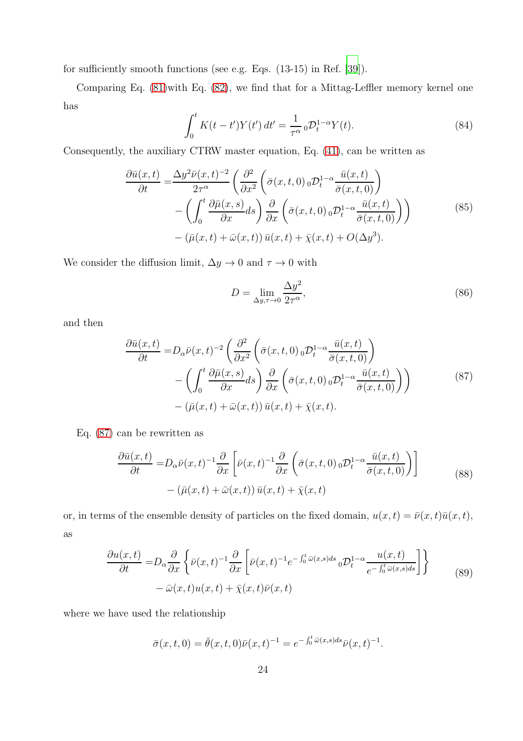for sufficiently smooth functions (see e.g. Eqs. (13-15) in Ref. [\[39](#page-37-8)]).

Comparing Eq. [\(81\)](#page-22-1)with Eq. [\(82\)](#page-22-2), we find that for a Mittag-Leffler memory kernel one has

$$
\int_0^t K(t - t')Y(t') dt' = \frac{1}{\tau^{\alpha}} {}_0\mathcal{D}_t^{1-\alpha} Y(t).
$$
 (84)

Consequently, the auxiliary CTRW master equation, Eq. [\(41\)](#page-12-3), can be written as

$$
\frac{\partial \bar{u}(x,t)}{\partial t} = \frac{\Delta y^2 \bar{\nu}(x,t)^{-2}}{2\tau^{\alpha}} \left( \frac{\partial^2}{\partial x^2} \left( \bar{\sigma}(x,t,0) \, {}_{0} \mathcal{D}_t^{1-\alpha} \frac{\bar{u}(x,t)}{\bar{\sigma}(x,t,0)} \right) - \left( \int_0^t \frac{\partial \bar{\mu}(x,s)}{\partial x} ds \right) \frac{\partial}{\partial x} \left( \bar{\sigma}(x,t,0) \, {}_{0} \mathcal{D}_t^{1-\alpha} \frac{\bar{u}(x,t)}{\bar{\sigma}(x,t,0)} \right) - (\bar{\mu}(x,t) + \bar{\omega}(x,t)) \, \bar{u}(x,t) + \bar{\chi}(x,t) + O(\Delta y^3). \tag{85}
$$

We consider the diffusion limit,  $\Delta y \to 0$  and  $\tau \to 0$  with

$$
D = \lim_{\Delta y, \tau \to 0} \frac{\Delta y^2}{2\tau^{\alpha}},\tag{86}
$$

<span id="page-23-0"></span>and then

$$
\frac{\partial \bar{u}(x,t)}{\partial t} = D_{\alpha} \bar{\nu}(x,t)^{-2} \left( \frac{\partial^2}{\partial x^2} \left( \bar{\sigma}(x,t,0) \, {}_{0} \mathcal{D}_{t}^{1-\alpha} \frac{\bar{u}(x,t)}{\bar{\sigma}(x,t,0)} \right) - \left( \int_0^t \frac{\partial \bar{\mu}(x,s)}{\partial x} ds \right) \frac{\partial}{\partial x} \left( \bar{\sigma}(x,t,0) \, {}_{0} \mathcal{D}_{t}^{1-\alpha} \frac{\bar{u}(x,t)}{\bar{\sigma}(x,t,0)} \right) - (\bar{\mu}(x,t) + \bar{\omega}(x,t)) \, \bar{u}(x,t) + \bar{\chi}(x,t).
$$
\n(87)

Eq. [\(87\)](#page-23-0) can be rewritten as

$$
\frac{\partial \bar{u}(x,t)}{\partial t} = D_{\alpha} \bar{\nu}(x,t)^{-1} \frac{\partial}{\partial x} \left[ \bar{\nu}(x,t)^{-1} \frac{\partial}{\partial x} \left( \bar{\sigma}(x,t,0) \, {}_{0} \mathcal{D}_{t}^{1-\alpha} \frac{\bar{u}(x,t)}{\bar{\sigma}(x,t,0)} \right) \right] \tag{88}
$$
\n
$$
- \left( \bar{\mu}(x,t) + \bar{\omega}(x,t) \right) \bar{u}(x,t) + \bar{\chi}(x,t)
$$

or, in terms of the ensemble density of particles on the fixed domain,  $u(x, t) = \bar{\nu}(x, t)\bar{u}(x, t)$ , as

<span id="page-23-1"></span>
$$
\frac{\partial u(x,t)}{\partial t} = D_{\alpha} \frac{\partial}{\partial x} \left\{ \bar{\nu}(x,t)^{-1} \frac{\partial}{\partial x} \left[ \bar{\nu}(x,t)^{-1} e^{-\int_0^t \bar{\omega}(x,s)ds} {}_0 \mathcal{D}_t^{1-\alpha} \frac{u(x,t)}{e^{-\int_0^t \bar{\omega}(x,s)ds}} \right] \right\}
$$
\n
$$
- \bar{\omega}(x,t) u(x,t) + \bar{\chi}(x,t) \bar{\nu}(x,t) \tag{89}
$$

where we have used the relationship

$$
\bar{\sigma}(x,t,0) = \bar{\theta}(x,t,0)\bar{\nu}(x,t)^{-1} = e^{-\int_0^t \bar{\omega}(x,s)ds}\bar{\nu}(x,t)^{-1}.
$$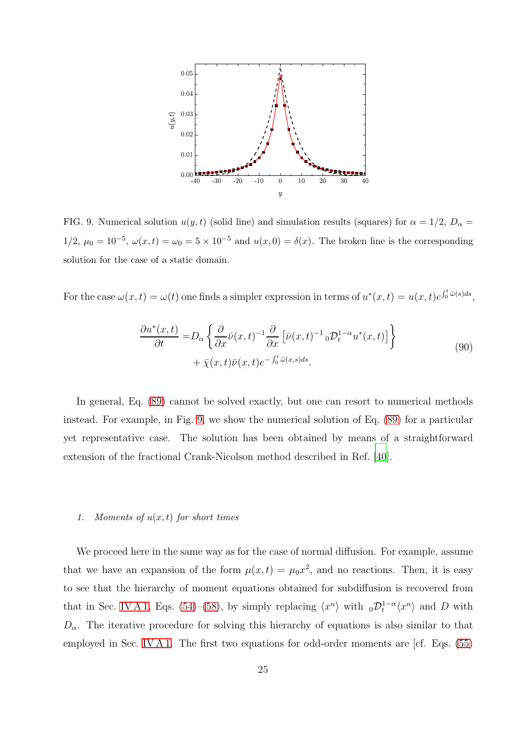

<span id="page-24-0"></span>FIG. 9. Numerical solution  $u(y, t)$  (solid line) and simulation results (squares) for  $\alpha = 1/2$ ,  $D_{\alpha} =$  $1/2, \mu_0 = 10^{-5}, \omega(x,t) = \omega_0 = 5 \times 10^{-5}$  and  $u(x,0) = \delta(x)$ . The broken line is the corresponding solution for the case of a static domain.

For the case  $\omega(x,t) = \omega(t)$  one finds a simpler expression in terms of  $u^*(x,t) = u(x,t)e^{\int_0^t \overline{\omega}(s)ds}$ ,

$$
\frac{\partial u^*(x,t)}{\partial t} = D_{\alpha} \left\{ \frac{\partial}{\partial x} \bar{\nu}(x,t)^{-1} \frac{\partial}{\partial x} \left[ \bar{\nu}(x,t)^{-1} {}_{0} \mathcal{D}_{t}^{1-\alpha} u^*(x,t) \right] \right\} + \bar{\chi}(x,t) \bar{\nu}(x,t) e^{-\int_{0}^{t} \bar{\omega}(x,s)ds}.
$$
\n(90)

In general, Eq. [\(89\)](#page-23-1) cannot be solved exactly, but one can resort to numerical methods instead. For example, in Fig. [9,](#page-24-0) we show the numerical solution of Eq. [\(89\)](#page-23-1) for a particular yet representative case. The solution has been obtained by means of a straightforward extension of the fractional Crank-Nicolson method described in Ref. [\[40\]](#page-37-9).

# 1. Moments of  $u(x, t)$  for short times

We proceed here in the same way as for the case of normal diffusion. For example, assume that we have an expansion of the form  $\mu(x,t) = \mu_0 x^2$ , and no reactions. Then, it is easy to see that the hierarchy of moment equations obtained for subdiffusion is recovered from that in Sec. [IV A 1,](#page-14-3) Eqs. [\(54\)](#page-15-5)–[\(58\)](#page-15-6), by simply replacing  $\langle x^n \rangle$  with  ${}_0\mathcal{D}_t^{1-\alpha}\langle x^n \rangle$  and D with  $D_{\alpha}$ . The iterative procedure for solving this hierarchy of equations is also similar to that employed in Sec. [IV A 1.](#page-14-3) The first two equations for odd-order moments are [cf. Eqs. [\(55\)](#page-15-0)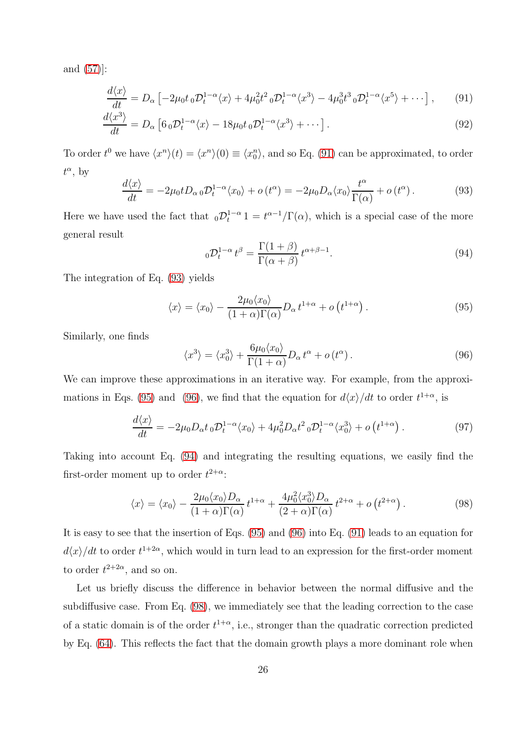and [\(57\)](#page-15-1)]:

$$
\frac{d\langle x\rangle}{dt} = D_{\alpha} \left[ -2\mu_0 t_0 \mathcal{D}_t^{1-\alpha} \langle x \rangle + 4\mu_0^2 t^2 {}_0 \mathcal{D}_t^{1-\alpha} \langle x^3 \rangle - 4\mu_0^3 t^3 {}_0 \mathcal{D}_t^{1-\alpha} \langle x^5 \rangle + \cdots \right],\tag{91}
$$

$$
\frac{d\langle x^3\rangle}{dt} = D_\alpha \left[ 6_0 \mathcal{D}_t^{1-\alpha} \langle x \rangle - 18\mu_0 t_0 \mathcal{D}_t^{1-\alpha} \langle x^3 \rangle + \cdots \right].
$$
\n(92)

To order  $t^0$  we have  $\langle x^n \rangle(t) = \langle x^n \rangle(0) \equiv \langle x^n_0 \rangle$ , and so Eq. [\(91\)](#page-25-0) can be approximated, to order  $t^{\alpha}$ , by

<span id="page-25-1"></span>
$$
\frac{d\langle x\rangle}{dt} = -2\mu_0 t D_{\alpha 0} \mathcal{D}_t^{1-\alpha} \langle x_0 \rangle + o(t^{\alpha}) = -2\mu_0 D_{\alpha} \langle x_0 \rangle \frac{t^{\alpha}}{\Gamma(\alpha)} + o(t^{\alpha}). \tag{93}
$$

Here we have used the fact that  $_0\mathcal{D}_t^{1-\alpha}1 = t^{\alpha-1}/\Gamma(\alpha)$ , which is a special case of the more general result

<span id="page-25-4"></span><span id="page-25-0"></span>
$$
{}_{0}\mathcal{D}_{t}^{1-\alpha}t^{\beta} = \frac{\Gamma(1+\beta)}{\Gamma(\alpha+\beta)}t^{\alpha+\beta-1}.
$$
\n(94)

The integration of Eq. [\(93\)](#page-25-1) yields

<span id="page-25-2"></span>
$$
\langle x \rangle = \langle x_0 \rangle - \frac{2\mu_0 \langle x_0 \rangle}{(1+\alpha)\Gamma(\alpha)} D_\alpha t^{1+\alpha} + o\left(t^{1+\alpha}\right). \tag{95}
$$

Similarly, one finds

<span id="page-25-3"></span>
$$
\langle x^3 \rangle = \langle x_0^3 \rangle + \frac{6\mu_0 \langle x_0 \rangle}{\Gamma(1+\alpha)} D_\alpha t^\alpha + o(t^\alpha). \tag{96}
$$

We can improve these approximations in an iterative way. For example, from the approxi-mations in Eqs. [\(95\)](#page-25-2) and [\(96\)](#page-25-3), we find that the equation for  $d\langle x\rangle/dt$  to order  $t^{1+\alpha}$ , is

$$
\frac{d\langle x\rangle}{dt} = -2\mu_0 D_\alpha t_0 \mathcal{D}_t^{1-\alpha} \langle x_0\rangle + 4\mu_0^2 D_\alpha t^2 {}_0 \mathcal{D}_t^{1-\alpha} \langle x_0^3\rangle + o\left(t^{1+\alpha}\right). \tag{97}
$$

Taking into account Eq. [\(94\)](#page-25-4) and integrating the resulting equations, we easily find the first-order moment up to order  $t^{2+\alpha}$ :

<span id="page-25-5"></span>
$$
\langle x \rangle = \langle x_0 \rangle - \frac{2\mu_0 \langle x_0 \rangle D_\alpha}{(1+\alpha)\Gamma(\alpha)} t^{1+\alpha} + \frac{4\mu_0^2 \langle x_0^3 \rangle D_\alpha}{(2+\alpha)\Gamma(\alpha)} t^{2+\alpha} + o(t^{2+\alpha}). \tag{98}
$$

It is easy to see that the insertion of Eqs. [\(95\)](#page-25-2) and [\(96\)](#page-25-3) into Eq. [\(91\)](#page-25-0) leads to an equation for  $d\langle x\rangle/dt$  to order  $t^{1+2\alpha}$ , which would in turn lead to an expression for the first-order moment to order  $t^{2+2\alpha}$ , and so on.

Let us briefly discuss the difference in behavior between the normal diffusive and the subdiffusive case. From Eq. [\(98\)](#page-25-5), we immediately see that the leading correction to the case of a static domain is of the order  $t^{1+\alpha}$ , i.e., stronger than the quadratic correction predicted by Eq. [\(64\)](#page-16-4). This reflects the fact that the domain growth plays a more dominant role when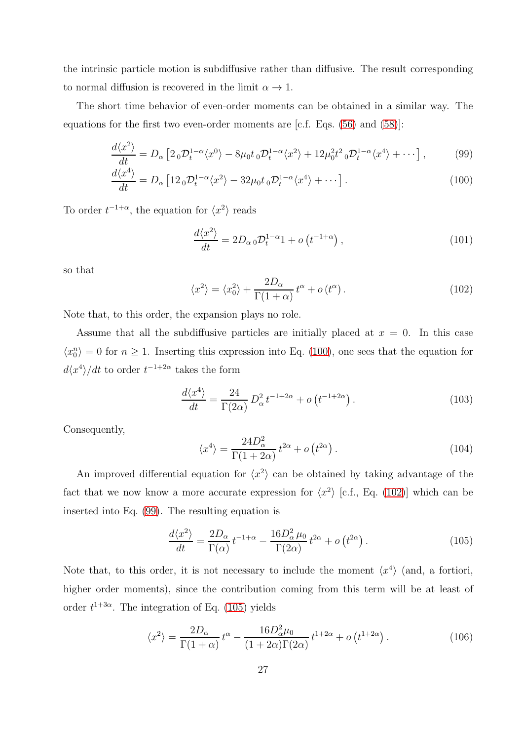the intrinsic particle motion is subdiffusive rather than diffusive. The result corresponding to normal diffusion is recovered in the limit  $\alpha \to 1$ .

The short time behavior of even-order moments can be obtained in a similar way. The equations for the first two even-order moments are [c.f. Eqs. [\(56\)](#page-15-7) and [\(58\)](#page-15-6)]:

$$
\frac{d\langle x^2\rangle}{dt} = D_\alpha \left[2_0 \mathcal{D}_t^{1-\alpha} \langle x^0 \rangle - 8\mu_0 t_0 \mathcal{D}_t^{1-\alpha} \langle x^2 \rangle + 12\mu_0^2 t^2 {}_0 \mathcal{D}_t^{1-\alpha} \langle x^4 \rangle + \cdots \right],\tag{99}
$$

$$
\frac{d\langle x^4\rangle}{dt} = D_\alpha \left[12_0 \mathcal{D}_t^{1-\alpha} \langle x^2 \rangle - 32\mu_0 t_0 \mathcal{D}_t^{1-\alpha} \langle x^4 \rangle + \cdots \right].
$$
\n(100)

To order  $t^{-1+\alpha}$ , the equation for  $\langle x^2 \rangle$  reads

<span id="page-26-2"></span><span id="page-26-0"></span>
$$
\frac{d\langle x^2\rangle}{dt} = 2D_{\alpha 0}\mathcal{D}_t^{1-\alpha}1 + o\left(t^{-1+\alpha}\right),\tag{101}
$$

so that

<span id="page-26-1"></span>
$$
\langle x^2 \rangle = \langle x_0^2 \rangle + \frac{2D_\alpha}{\Gamma(1+\alpha)} t^\alpha + o(t^\alpha). \tag{102}
$$

Note that, to this order, the expansion plays no role.

Assume that all the subdiffusive particles are initially placed at  $x = 0$ . In this case  $\langle x_0^n \rangle = 0$  for  $n \ge 1$ . Inserting this expression into Eq. [\(100\)](#page-26-0), one sees that the equation for  $d\langle x^4 \rangle / dt$  to order  $t^{-1+2\alpha}$  takes the form

$$
\frac{d\langle x^4\rangle}{dt} = \frac{24}{\Gamma(2\alpha)} D_\alpha^2 t^{-1+2\alpha} + o\left(t^{-1+2\alpha}\right). \tag{103}
$$

Consequently,

<span id="page-26-5"></span>
$$
\langle x^4 \rangle = \frac{24D_\alpha^2}{\Gamma(1+2\alpha)} t^{2\alpha} + o\left(t^{2\alpha}\right). \tag{104}
$$

An improved differential equation for  $\langle x^2 \rangle$  can be obtained by taking advantage of the fact that we now know a more accurate expression for  $\langle x^2 \rangle$  [c.f., Eq. [\(102\)](#page-26-1)] which can be inserted into Eq. [\(99\)](#page-26-2). The resulting equation is

<span id="page-26-3"></span>
$$
\frac{d\langle x^2\rangle}{dt} = \frac{2D_\alpha}{\Gamma(\alpha)} t^{-1+\alpha} - \frac{16D_\alpha^2 \mu_0}{\Gamma(2\alpha)} t^{2\alpha} + o\left(t^{2\alpha}\right). \tag{105}
$$

Note that, to this order, it is not necessary to include the moment  $\langle x^4 \rangle$  (and, a fortiori, higher order moments), since the contribution coming from this term will be at least of order  $t^{1+3\alpha}$ . The integration of Eq. [\(105\)](#page-26-3) yields

<span id="page-26-4"></span>
$$
\langle x^2 \rangle = \frac{2D_\alpha}{\Gamma(1+\alpha)} t^\alpha - \frac{16D_\alpha^2 \mu_0}{(1+2\alpha)\Gamma(2\alpha)} t^{1+2\alpha} + o(t^{1+2\alpha}). \tag{106}
$$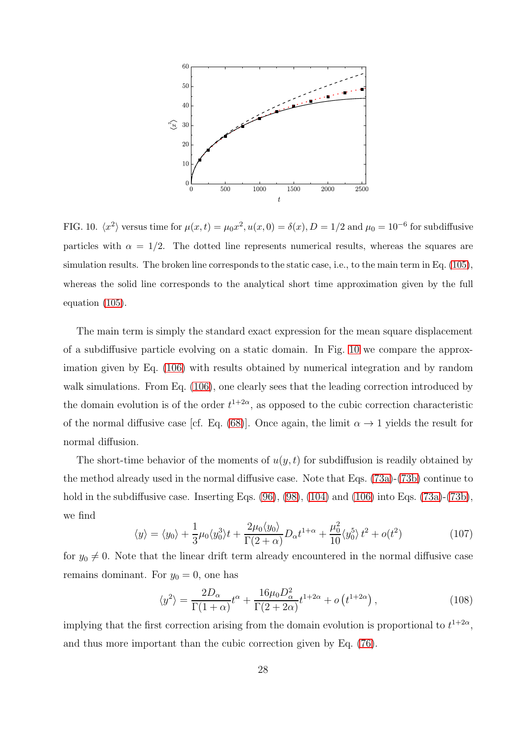

<span id="page-27-0"></span>FIG. 10.  $\langle x^2 \rangle$  versus time for  $\mu(x,t) = \mu_0 x^2, u(x,0) = \delta(x), D = 1/2$  and  $\mu_0 = 10^{-6}$  for subdiffusive particles with  $\alpha = 1/2$ . The dotted line represents numerical results, whereas the squares are simulation results. The broken line corresponds to the static case, i.e., to the main term in Eq. [\(105\)](#page-26-3), whereas the solid line corresponds to the analytical short time approximation given by the full equation [\(105\)](#page-26-3).

The main term is simply the standard exact expression for the mean square displacement of a subdiffusive particle evolving on a static domain. In Fig. [10](#page-27-0) we compare the approximation given by Eq. [\(106\)](#page-26-4) with results obtained by numerical integration and by random walk simulations. From Eq.  $(106)$ , one clearly sees that the leading correction introduced by the domain evolution is of the order  $t^{1+2\alpha}$ , as opposed to the cubic correction characteristic of the normal diffusive case [cf. Eq. [\(68\)](#page-16-2)]. Once again, the limit  $\alpha \to 1$  yields the result for normal diffusion.

The short-time behavior of the moments of  $u(y, t)$  for subdiffusion is readily obtained by the method already used in the normal diffusive case. Note that Eqs. [\(73a\)](#page-19-3)-[\(73b\)](#page-19-2) continue to hold in the subdiffusive case. Inserting Eqs.  $(96)$ ,  $(98)$ ,  $(104)$  and  $(106)$  into Eqs.  $(73a)-(73b)$  $(73a)-(73b)$ , we find

$$
\langle y \rangle = \langle y_0 \rangle + \frac{1}{3} \mu_0 \langle y_0^3 \rangle t + \frac{2\mu_0 \langle y_0 \rangle}{\Gamma(2+\alpha)} D_\alpha t^{1+\alpha} + \frac{\mu_0^2}{10} \langle y_0^5 \rangle t^2 + o(t^2)
$$
 (107)

for  $y_0 \neq 0$ . Note that the linear drift term already encountered in the normal diffusive case remains dominant. For  $y_0 = 0$ , one has

$$
\langle y^2 \rangle = \frac{2D_\alpha}{\Gamma(1+\alpha)} t^\alpha + \frac{16\mu_0 D_\alpha^2}{\Gamma(2+2\alpha)} t^{1+2\alpha} + o\left(t^{1+2\alpha}\right),\tag{108}
$$

implying that the first correction arising from the domain evolution is proportional to  $t^{1+2\alpha}$ , and thus more important than the cubic correction given by Eq. [\(76\)](#page-20-2).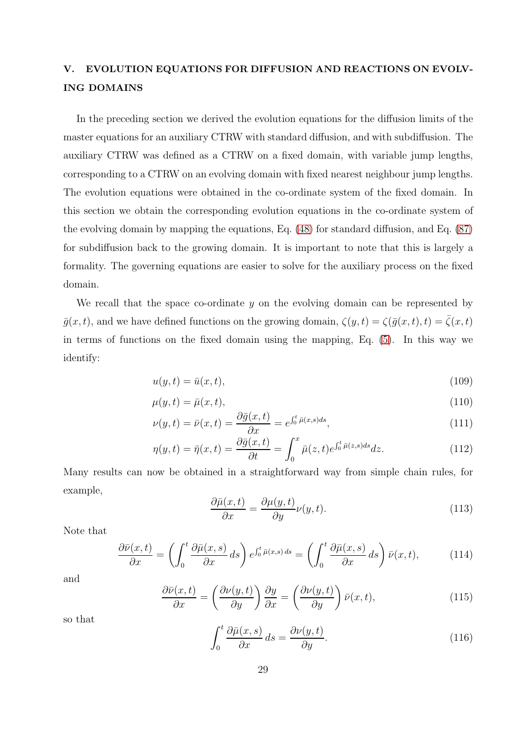# V. EVOLUTION EQUATIONS FOR DIFFUSION AND REACTIONS ON EVOLV-ING DOMAINS

In the preceding section we derived the evolution equations for the diffusion limits of the master equations for an auxiliary CTRW with standard diffusion, and with subdiffusion. The auxiliary CTRW was defined as a CTRW on a fixed domain, with variable jump lengths, corresponding to a CTRW on an evolving domain with fixed nearest neighbour jump lengths. The evolution equations were obtained in the co-ordinate system of the fixed domain. In this section we obtain the corresponding evolution equations in the co-ordinate system of the evolving domain by mapping the equations, Eq. [\(48\)](#page-13-0) for standard diffusion, and Eq. [\(87\)](#page-23-0) for subdiffusion back to the growing domain. It is important to note that this is largely a formality. The governing equations are easier to solve for the auxiliary process on the fixed domain.

We recall that the space co-ordinate  $\gamma$  on the evolving domain can be represented by  $\bar{g}(x, t)$ , and we have defined functions on the growing domain,  $\zeta(y, t) = \zeta(\bar{g}(x, t), t) = \bar{\zeta}(x, t)$ in terms of functions on the fixed domain using the mapping, Eq. [\(5\)](#page-5-1). In this way we identify:

$$
u(y,t) = \bar{u}(x,t),\tag{109}
$$

$$
\mu(y,t) = \bar{\mu}(x,t),\tag{110}
$$

$$
\nu(y,t) = \bar{\nu}(x,t) = \frac{\partial \bar{g}(x,t)}{\partial x} = e^{\int_0^t \bar{\mu}(x,s)ds},\tag{111}
$$

$$
\eta(y,t) = \bar{\eta}(x,t) = \frac{\partial \bar{g}(x,t)}{\partial t} = \int_0^x \bar{\mu}(z,t) e^{\int_0^t \bar{\mu}(z,s)ds} dz.
$$
\n(112)

Many results can now be obtained in a straightforward way from simple chain rules, for example,

$$
\frac{\partial \bar{\mu}(x,t)}{\partial x} = \frac{\partial \mu(y,t)}{\partial y} \nu(y,t). \tag{113}
$$

Note that

$$
\frac{\partial \bar{\nu}(x,t)}{\partial x} = \left(\int_0^t \frac{\partial \bar{\mu}(x,s)}{\partial x} ds\right) e^{\int_0^t \bar{\mu}(x,s) ds} = \left(\int_0^t \frac{\partial \bar{\mu}(x,s)}{\partial x} ds\right) \bar{\nu}(x,t),\tag{114}
$$

and

$$
\frac{\partial \bar{\nu}(x,t)}{\partial x} = \left(\frac{\partial \nu(y,t)}{\partial y}\right) \frac{\partial y}{\partial x} = \left(\frac{\partial \nu(y,t)}{\partial y}\right) \bar{\nu}(x,t),\tag{115}
$$

so that

$$
\int_0^t \frac{\partial \bar{\mu}(x,s)}{\partial x} ds = \frac{\partial \nu(y,t)}{\partial y}.
$$
\n(116)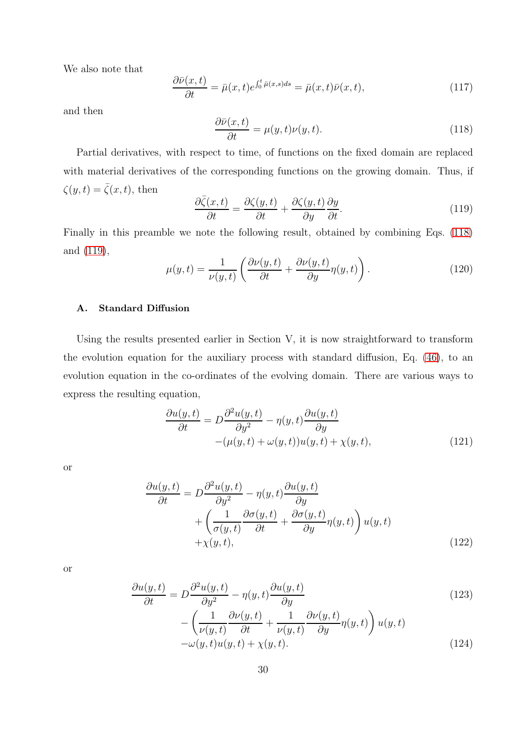We also note that

$$
\frac{\partial \bar{\nu}(x,t)}{\partial t} = \bar{\mu}(x,t)e^{\int_0^t \bar{\mu}(x,s)ds} = \bar{\mu}(x,t)\bar{\nu}(x,t),\tag{117}
$$

and then

<span id="page-29-0"></span>
$$
\frac{\partial \bar{\nu}(x,t)}{\partial t} = \mu(y,t)\nu(y,t). \tag{118}
$$

Partial derivatives, with respect to time, of functions on the fixed domain are replaced with material derivatives of the corresponding functions on the growing domain. Thus, if  $\zeta(y,t) = \overline{\zeta}(x,t)$ , then

<span id="page-29-1"></span>
$$
\frac{\partial \bar{\zeta}(x,t)}{\partial t} = \frac{\partial \zeta(y,t)}{\partial t} + \frac{\partial \zeta(y,t)}{\partial y} \frac{\partial y}{\partial t}.
$$
\n(119)

Finally in this preamble we note the following result, obtained by combining Eqs. [\(118\)](#page-29-0) and [\(119\)](#page-29-1),

$$
\mu(y,t) = \frac{1}{\nu(y,t)} \left( \frac{\partial \nu(y,t)}{\partial t} + \frac{\partial \nu(y,t)}{\partial y} \eta(y,t) \right).
$$
\n(120)

# A. Standard Diffusion

Using the results presented earlier in Section V, it is now straightforward to transform the evolution equation for the auxiliary process with standard diffusion, Eq. [\(46\)](#page-13-1), to an evolution equation in the co-ordinates of the evolving domain. There are various ways to express the resulting equation,

<span id="page-29-2"></span>
$$
\frac{\partial u(y,t)}{\partial t} = D \frac{\partial^2 u(y,t)}{\partial y^2} - \eta(y,t) \frac{\partial u(y,t)}{\partial y} - (\mu(y,t) + \omega(y,t))u(y,t) + \chi(y,t), \qquad (121)
$$

or

$$
\frac{\partial u(y,t)}{\partial t} = D \frac{\partial^2 u(y,t)}{\partial y^2} - \eta(y,t) \frac{\partial u(y,t)}{\partial y} + \left( \frac{1}{\sigma(y,t)} \frac{\partial \sigma(y,t)}{\partial t} + \frac{\partial \sigma(y,t)}{\partial y} \eta(y,t) \right) u(y,t) + \chi(y,t), \tag{122}
$$

or

$$
\frac{\partial u(y,t)}{\partial t} = D \frac{\partial^2 u(y,t)}{\partial y^2} - \eta(y,t) \frac{\partial u(y,t)}{\partial y} \n- \left( \frac{1}{\nu(y,t)} \frac{\partial \nu(y,t)}{\partial t} + \frac{1}{\nu(y,t)} \frac{\partial \nu(y,t)}{\partial y} \eta(y,t) \right) u(y,t) \n- \omega(y,t)u(y,t) + \chi(y,t).
$$
\n(124)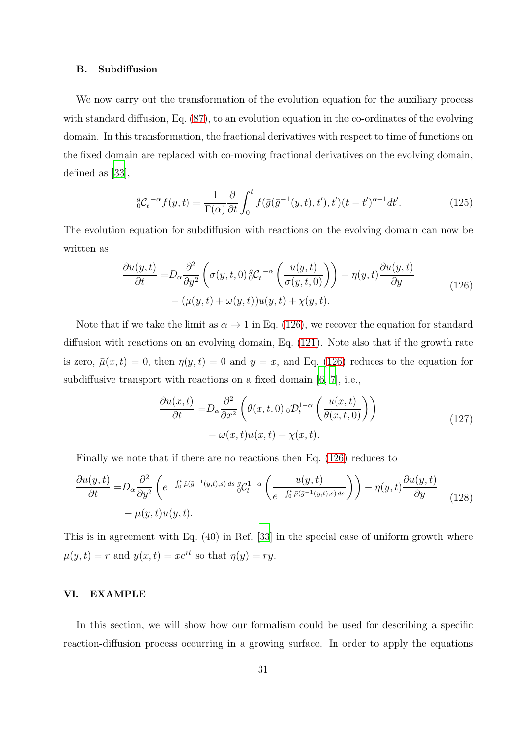#### B. Subdiffusion

We now carry out the transformation of the evolution equation for the auxiliary process with standard diffusion, Eq. [\(87\)](#page-23-0), to an evolution equation in the co-ordinates of the evolving domain. In this transformation, the fractional derivatives with respect to time of functions on the fixed domain are replaced with co-moving fractional derivatives on the evolving domain, defined as [\[33\]](#page-37-2),

$$
{}_{0}^{g}C_{t}^{1-\alpha}f(y,t) = \frac{1}{\Gamma(\alpha)}\frac{\partial}{\partial t}\int_{0}^{t}f(\bar{g}(\bar{g}^{-1}(y,t),t'),t')(t-t')^{\alpha-1}dt'.\tag{125}
$$

The evolution equation for subdiffusion with reactions on the evolving domain can now be written as

$$
\frac{\partial u(y,t)}{\partial t} = D_{\alpha} \frac{\partial^2}{\partial y^2} \left( \sigma(y,t,0) \, {}_0^g C_t^{1-\alpha} \left( \frac{u(y,t)}{\sigma(y,t,0)} \right) \right) - \eta(y,t) \frac{\partial u(y,t)}{\partial y} \qquad (126)
$$

$$
- (\mu(y,t) + \omega(y,t)) u(y,t) + \chi(y,t).
$$

<span id="page-30-0"></span>Note that if we take the limit as  $\alpha \to 1$  in Eq. [\(126\)](#page-30-0), we recover the equation for standard diffusion with reactions on an evolving domain, Eq. [\(121\)](#page-29-2). Note also that if the growth rate is zero,  $\bar{\mu}(x, t) = 0$ , then  $\eta(y, t) = 0$  and  $y = x$ , and Eq. [\(126\)](#page-30-0) reduces to the equation for subdiffusive transport with reactions on a fixed domain [\[6,](#page-35-5) [7\]](#page-35-6), i.e.,

$$
\frac{\partial u(x,t)}{\partial t} = D_{\alpha} \frac{\partial^2}{\partial x^2} \left( \theta(x,t,0) \, {}_{0} \mathcal{D}_t^{1-\alpha} \left( \frac{u(x,t)}{\theta(x,t,0)} \right) \right) \n- \omega(x,t) u(x,t) + \chi(x,t).
$$
\n(127)

Finally we note that if there are no reactions then Eq. [\(126\)](#page-30-0) reduces to

$$
\frac{\partial u(y,t)}{\partial t} = D_{\alpha} \frac{\partial^2}{\partial y^2} \left( e^{-\int_0^t \bar{\mu}(\bar{g}^{-1}(y,t),s) ds} \, \frac{g}{\omega} \mathcal{C}_t^{1-\alpha} \left( \frac{u(y,t)}{e^{-\int_0^t \bar{\mu}(\bar{g}^{-1}(y,t),s) ds}} \right) \right) - \eta(y,t) \frac{\partial u(y,t)}{\partial y} \qquad (128)
$$
\n
$$
-\mu(y,t)u(y,t).
$$

This is in agreement with Eq. (40) in Ref. [\[33](#page-37-2)] in the special case of uniform growth where  $\mu(y, t) = r$  and  $y(x, t) = xe^{rt}$  so that  $\eta(y) = ry$ .

#### VI. EXAMPLE

In this section, we will show how our formalism could be used for describing a specific reaction-diffusion process occurring in a growing surface. In order to apply the equations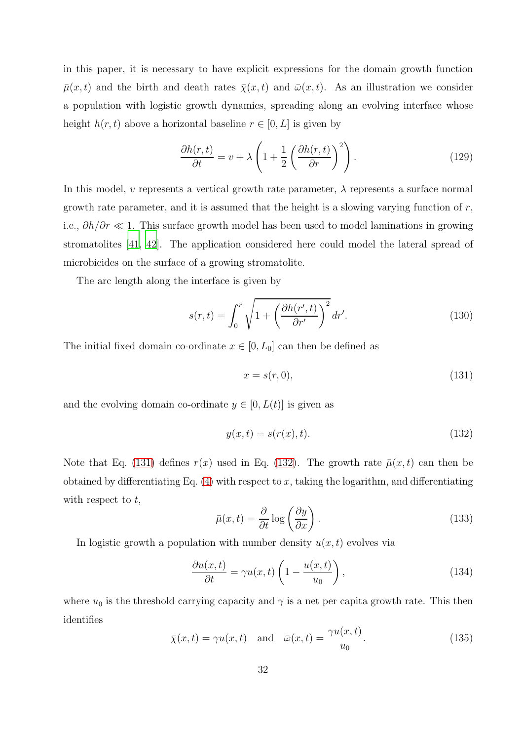in this paper, it is necessary to have explicit expressions for the domain growth function  $\bar{\mu}(x, t)$  and the birth and death rates  $\bar{\chi}(x, t)$  and  $\bar{\omega}(x, t)$ . As an illustration we consider a population with logistic growth dynamics, spreading along an evolving interface whose height  $h(r, t)$  above a horizontal baseline  $r \in [0, L]$  is given by

$$
\frac{\partial h(r,t)}{\partial t} = v + \lambda \left( 1 + \frac{1}{2} \left( \frac{\partial h(r,t)}{\partial r} \right)^2 \right). \tag{129}
$$

In this model, v represents a vertical growth rate parameter,  $\lambda$  represents a surface normal growth rate parameter, and it is assumed that the height is a slowing varying function of  $r$ , i.e.,  $\partial h/\partial r \ll 1$ . This surface growth model has been used to model laminations in growing stromatolites [\[41](#page-37-10), [42](#page-37-11)]. The application considered here could model the lateral spread of microbicides on the surface of a growing stromatolite.

The arc length along the interface is given by

$$
s(r,t) = \int_0^r \sqrt{1 + \left(\frac{\partial h(r',t)}{\partial r'}\right)^2} dr'.
$$
 (130)

The initial fixed domain co-ordinate  $x \in [0, L_0]$  can then be defined as

<span id="page-31-0"></span>
$$
x = s(r, 0),\tag{131}
$$

and the evolving domain co-ordinate  $y \in [0, L(t)]$  is given as

<span id="page-31-1"></span>
$$
y(x,t) = s(r(x),t). \tag{132}
$$

Note that Eq. [\(131\)](#page-31-0) defines  $r(x)$  used in Eq. [\(132\)](#page-31-1). The growth rate  $\bar{\mu}(x,t)$  can then be obtained by differentiating Eq.  $(4)$  with respect to x, taking the logarithm, and differentiating with respect to  $t$ ,

$$
\bar{\mu}(x,t) = \frac{\partial}{\partial t} \log \left(\frac{\partial y}{\partial x}\right). \tag{133}
$$

In logistic growth a population with number density  $u(x, t)$  evolves via

$$
\frac{\partial u(x,t)}{\partial t} = \gamma u(x,t) \left( 1 - \frac{u(x,t)}{u_0} \right),\tag{134}
$$

where  $u_0$  is the threshold carrying capacity and  $\gamma$  is a net per capita growth rate. This then identifies

$$
\bar{\chi}(x,t) = \gamma u(x,t) \quad \text{and} \quad \bar{\omega}(x,t) = \frac{\gamma u(x,t)}{u_0}.
$$
\n(135)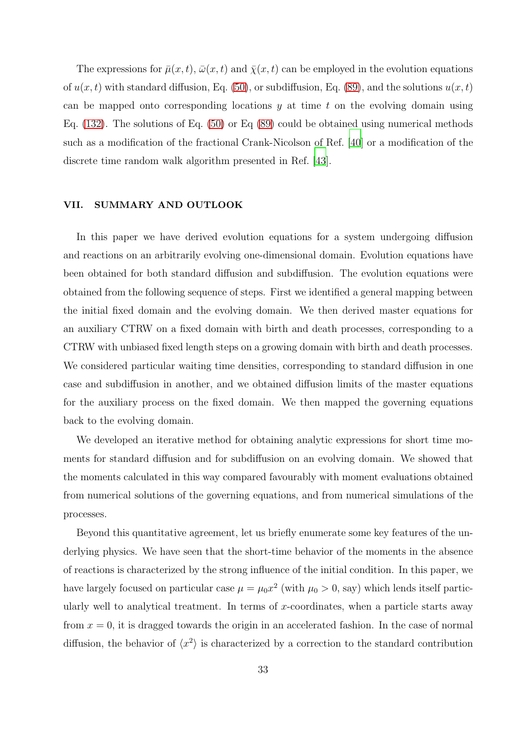The expressions for  $\bar{\mu}(x, t)$ ,  $\bar{\omega}(x, t)$  and  $\bar{\chi}(x, t)$  can be employed in the evolution equations of  $u(x, t)$  with standard diffusion, Eq. [\(50\)](#page-14-0), or subdiffusion, Eq. [\(89\)](#page-23-1), and the solutions  $u(x, t)$ can be mapped onto corresponding locations  $y$  at time  $t$  on the evolving domain using Eq. [\(132\)](#page-31-1). The solutions of Eq. [\(50\)](#page-14-0) or Eq [\(89\)](#page-23-1) could be obtained using numerical methods such as a modification of the fractional Crank-Nicolson of Ref. [\[40\]](#page-37-9) or a modification of the discrete time random walk algorithm presented in Ref. [\[43\]](#page-37-12).

#### VII. SUMMARY AND OUTLOOK

In this paper we have derived evolution equations for a system undergoing diffusion and reactions on an arbitrarily evolving one-dimensional domain. Evolution equations have been obtained for both standard diffusion and subdiffusion. The evolution equations were obtained from the following sequence of steps. First we identified a general mapping between the initial fixed domain and the evolving domain. We then derived master equations for an auxiliary CTRW on a fixed domain with birth and death processes, corresponding to a CTRW with unbiased fixed length steps on a growing domain with birth and death processes. We considered particular waiting time densities, corresponding to standard diffusion in one case and subdiffusion in another, and we obtained diffusion limits of the master equations for the auxiliary process on the fixed domain. We then mapped the governing equations back to the evolving domain.

We developed an iterative method for obtaining analytic expressions for short time moments for standard diffusion and for subdiffusion on an evolving domain. We showed that the moments calculated in this way compared favourably with moment evaluations obtained from numerical solutions of the governing equations, and from numerical simulations of the processes.

Beyond this quantitative agreement, let us briefly enumerate some key features of the underlying physics. We have seen that the short-time behavior of the moments in the absence of reactions is characterized by the strong influence of the initial condition. In this paper, we have largely focused on particular case  $\mu = \mu_0 x^2$  (with  $\mu_0 > 0$ , say) which lends itself particularly well to analytical treatment. In terms of x-coordinates, when a particle starts away from  $x = 0$ , it is dragged towards the origin in an accelerated fashion. In the case of normal diffusion, the behavior of  $\langle x^2 \rangle$  is characterized by a correction to the standard contribution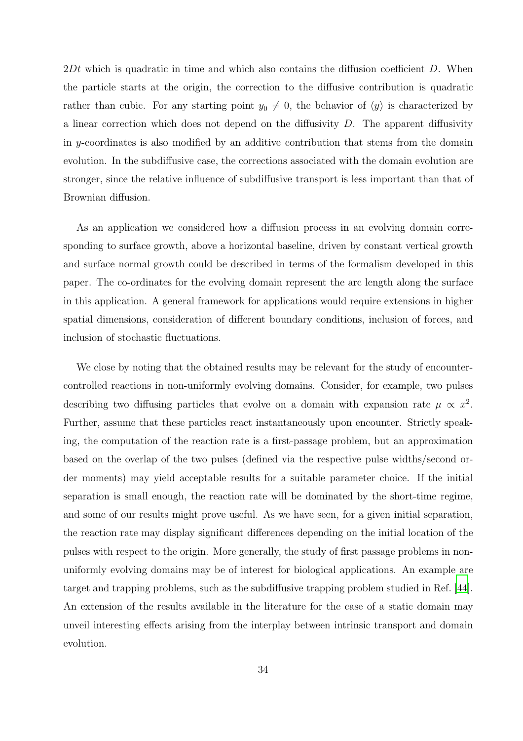$2Dt$  which is quadratic in time and which also contains the diffusion coefficient D. When the particle starts at the origin, the correction to the diffusive contribution is quadratic rather than cubic. For any starting point  $y_0 \neq 0$ , the behavior of  $\langle y \rangle$  is characterized by a linear correction which does not depend on the diffusivity  $D$ . The apparent diffusivity in y-coordinates is also modified by an additive contribution that stems from the domain evolution. In the subdiffusive case, the corrections associated with the domain evolution are stronger, since the relative influence of subdiffusive transport is less important than that of Brownian diffusion.

As an application we considered how a diffusion process in an evolving domain corresponding to surface growth, above a horizontal baseline, driven by constant vertical growth and surface normal growth could be described in terms of the formalism developed in this paper. The co-ordinates for the evolving domain represent the arc length along the surface in this application. A general framework for applications would require extensions in higher spatial dimensions, consideration of different boundary conditions, inclusion of forces, and inclusion of stochastic fluctuations.

We close by noting that the obtained results may be relevant for the study of encountercontrolled reactions in non-uniformly evolving domains. Consider, for example, two pulses describing two diffusing particles that evolve on a domain with expansion rate  $\mu \propto x^2$ . Further, assume that these particles react instantaneously upon encounter. Strictly speaking, the computation of the reaction rate is a first-passage problem, but an approximation based on the overlap of the two pulses (defined via the respective pulse widths/second order moments) may yield acceptable results for a suitable parameter choice. If the initial separation is small enough, the reaction rate will be dominated by the short-time regime, and some of our results might prove useful. As we have seen, for a given initial separation, the reaction rate may display significant differences depending on the initial location of the pulses with respect to the origin. More generally, the study of first passage problems in nonuniformly evolving domains may be of interest for biological applications. An example are target and trapping problems, such as the subdiffusive trapping problem studied in Ref. [\[44\]](#page-37-13). An extension of the results available in the literature for the case of a static domain may unveil interesting effects arising from the interplay between intrinsic transport and domain evolution.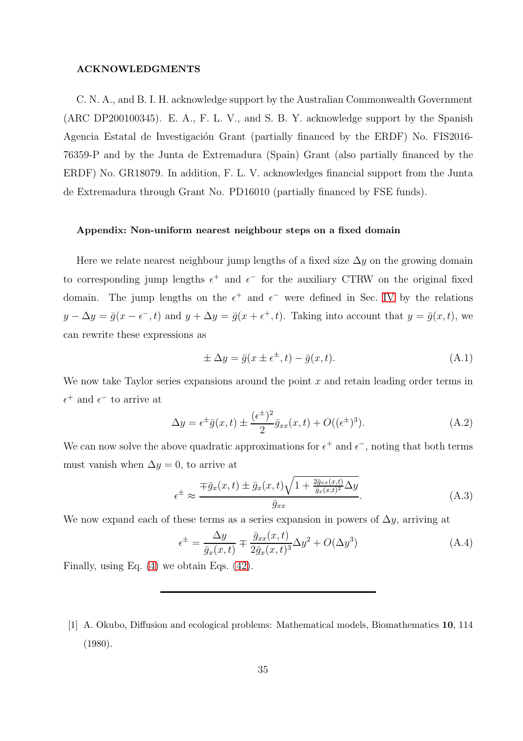#### ACKNOWLEDGMENTS

C. N. A., and B. I. H. acknowledge support by the Australian Commonwealth Government (ARC DP200100345). E. A., F. L. V., and S. B. Y. acknowledge support by the Spanish Agencia Estatal de Investigación Grant (partially financed by the ERDF) No. FIS2016-76359-P and by the Junta de Extremadura (Spain) Grant (also partially financed by the ERDF) No. GR18079. In addition, F. L. V. acknowledges financial support from the Junta de Extremadura through Grant No. PD16010 (partially financed by FSE funds).

#### Appendix: Non-uniform nearest neighbour steps on a fixed domain

Here we relate nearest neighbour jump lengths of a fixed size  $\Delta y$  on the growing domain to corresponding jump lengths  $\epsilon^+$  and  $\epsilon^-$  for the auxiliary CTRW on the original fixed domain. The jump lengths on the  $\epsilon^+$  and  $\epsilon^-$  were defined in Sec. [IV](#page-11-3) by the relations  $y - \Delta y = \bar{g}(x - \epsilon^-, t)$  and  $y + \Delta y = \bar{g}(x + \epsilon^+, t)$ . Taking into account that  $y = \bar{g}(x, t)$ , we can rewrite these expressions as

$$
\pm \Delta y = \bar{g}(x \pm \epsilon^{\pm}, t) - \bar{g}(x, t). \tag{A.1}
$$

We now take Taylor series expansions around the point  $x$  and retain leading order terms in  $\epsilon^+$  and  $\epsilon^-$  to arrive at

$$
\Delta y = \epsilon^{\pm} \bar{g}(x, t) \pm \frac{(\epsilon^{\pm})^2}{2} \bar{g}_{xx}(x, t) + O((\epsilon^{\pm})^3). \tag{A.2}
$$

We can now solve the above quadratic approximations for  $\epsilon^+$  and  $\epsilon^-$ , noting that both terms must vanish when  $\Delta y = 0$ , to arrive at

$$
\epsilon^{\pm} \approx \frac{\mp \bar{g}_x(x,t) \pm \bar{g}_x(x,t)\sqrt{1 + \frac{2\bar{g}_{xx}(x,t)}{\bar{g}_x(x,t)^2}\Delta y}}{\bar{g}_{xx}}.\tag{A.3}
$$

We now expand each of these terms as a series expansion in powers of  $\Delta y$ , arriving at

$$
\epsilon^{\pm} = \frac{\Delta y}{\bar{g}_x(x,t)} \mp \frac{\bar{g}_{xx}(x,t)}{2\bar{g}_x(x,t)^3} \Delta y^2 + O(\Delta y^3)
$$
(A.4)

Finally, using Eq. [\(4\)](#page-4-1) we obtain Eqs. [\(42\)](#page-12-2).

<span id="page-34-0"></span><sup>[1]</sup> A. Okubo, Diffusion and ecological problems: Mathematical models, Biomathematics 10, 114 (1980).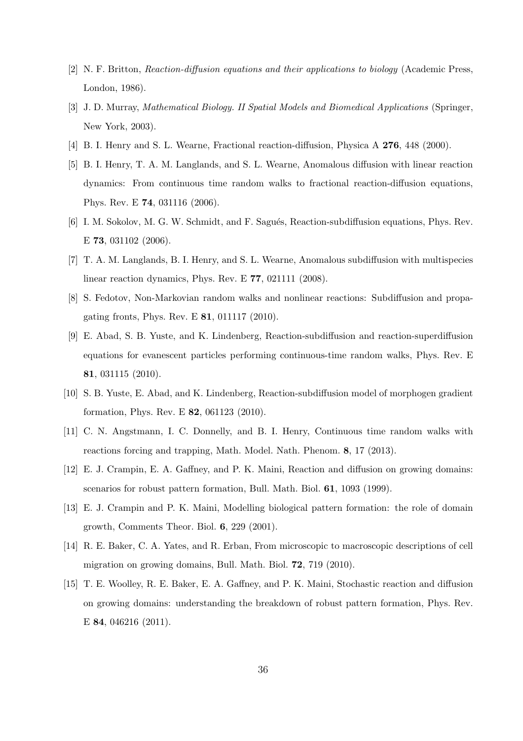- [2] N. F. Britton, Reaction-diffusion equations and their applications to biology (Academic Press, London, 1986).
- <span id="page-35-0"></span>[3] J. D. Murray, Mathematical Biology. II Spatial Models and Biomedical Applications (Springer, New York, 2003).
- <span id="page-35-1"></span>[4] B. I. Henry and S. L. Wearne, Fractional reaction-diffusion, Physica A 276, 448 (2000).
- [5] B. I. Henry, T. A. M. Langlands, and S. L. Wearne, Anomalous diffusion with linear reaction dynamics: From continuous time random walks to fractional reaction-diffusion equations, Phys. Rev. E 74, 031116 (2006).
- <span id="page-35-5"></span>[6] I. M. Sokolov, M. G. W. Schmidt, and F. Sagués, Reaction-subdiffusion equations, Phys. Rev. E 73, 031102 (2006).
- <span id="page-35-6"></span>[7] T. A. M. Langlands, B. I. Henry, and S. L. Wearne, Anomalous subdiffusion with multispecies linear reaction dynamics, Phys. Rev. E 77, 021111 (2008).
- <span id="page-35-4"></span>[8] S. Fedotov, Non-Markovian random walks and nonlinear reactions: Subdiffusion and propagating fronts, Phys. Rev. E 81, 011117 (2010).
- [9] E. Abad, S. B. Yuste, and K. Lindenberg, Reaction-subdiffusion and reaction-superdiffusion equations for evanescent particles performing continuous-time random walks, Phys. Rev. E 81, 031115 (2010).
- [10] S. B. Yuste, E. Abad, and K. Lindenberg, Reaction-subdiffusion model of morphogen gradient formation, Phys. Rev. E 82, 061123 (2010).
- <span id="page-35-2"></span>[11] C. N. Angstmann, I. C. Donnelly, and B. I. Henry, Continuous time random walks with reactions forcing and trapping, Math. Model. Nath. Phenom. 8, 17 (2013).
- <span id="page-35-3"></span>[12] E. J. Crampin, E. A. Gaffney, and P. K. Maini, Reaction and diffusion on growing domains: scenarios for robust pattern formation, Bull. Math. Biol. 61, 1093 (1999).
- [13] E. J. Crampin and P. K. Maini, Modelling biological pattern formation: the role of domain growth, Comments Theor. Biol. 6, 229 (2001).
- [14] R. E. Baker, C. A. Yates, and R. Erban, From microscopic to macroscopic descriptions of cell migration on growing domains, Bull. Math. Biol. 72, 719 (2010).
- [15] T. E. Woolley, R. E. Baker, E. A. Gaffney, and P. K. Maini, Stochastic reaction and diffusion on growing domains: understanding the breakdown of robust pattern formation, Phys. Rev. E 84, 046216 (2011).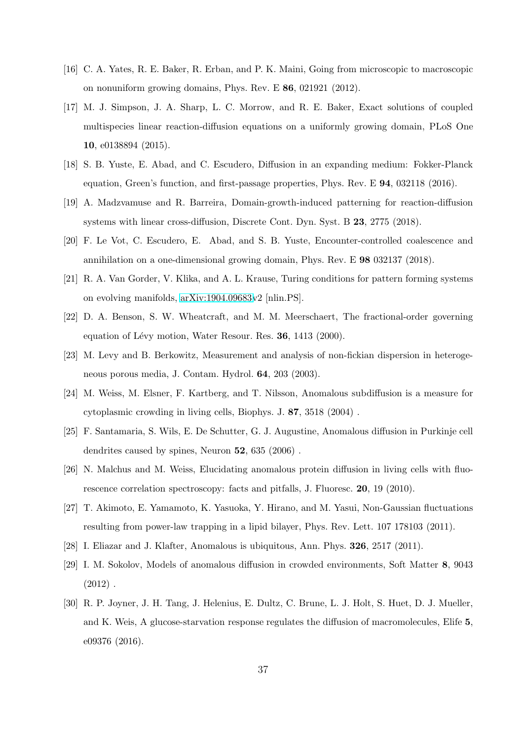- [16] C. A. Yates, R. E. Baker, R. Erban, and P. K. Maini, Going from microscopic to macroscopic on nonuniform growing domains, Phys. Rev. E 86, 021921 (2012).
- [17] M. J. Simpson, J. A. Sharp, L. C. Morrow, and R. E. Baker, Exact solutions of coupled multispecies linear reaction-diffusion equations on a uniformly growing domain, PLoS One 10, e0138894 (2015).
- <span id="page-36-4"></span>[18] S. B. Yuste, E. Abad, and C. Escudero, Diffusion in an expanding medium: Fokker-Planck equation, Green's function, and first-passage properties, Phys. Rev. E 94, 032118 (2016).
- [19] A. Madzvamuse and R. Barreira, Domain-growth-induced patterning for reaction-diffusion systems with linear cross-diffusion, Discrete Cont. Dyn. Syst. B 23, 2775 (2018).
- <span id="page-36-3"></span>[20] F. Le Vot, C. Escudero, E. Abad, and S. B. Yuste, Encounter-controlled coalescence and annihilation on a one-dimensional growing domain, Phys. Rev. E 98 032137 (2018).
- <span id="page-36-0"></span>[21] R. A. Van Gorder, V. Klika, and A. L. Krause, Turing conditions for pattern forming systems on evolving manifolds, [arXiv:1904.09683v](http://arxiv.org/abs/1904.09683)2 [nlin.PS].
- <span id="page-36-1"></span>[22] D. A. Benson, S. W. Wheatcraft, and M. M. Meerschaert, The fractional-order governing equation of Lévy motion, Water Resour. Res. 36, 1413 (2000).
- [23] M. Levy and B. Berkowitz, Measurement and analysis of non-fickian dispersion in heterogeneous porous media, J. Contam. Hydrol. 64, 203 (2003).
- [24] M. Weiss, M. Elsner, F. Kartberg, and T. Nilsson, Anomalous subdiffusion is a measure for cytoplasmic crowding in living cells, Biophys. J. 87, 3518 (2004) .
- [25] F. Santamaria, S. Wils, E. De Schutter, G. J. Augustine, Anomalous diffusion in Purkinje cell dendrites caused by spines, Neuron 52, 635 (2006) .
- [26] N. Malchus and M. Weiss, Elucidating anomalous protein diffusion in living cells with fluorescence correlation spectroscopy: facts and pitfalls, J. Fluoresc. 20, 19 (2010).
- [27] T. Akimoto, E. Yamamoto, K. Yasuoka, Y. Hirano, and M. Yasui, Non-Gaussian fluctuations resulting from power-law trapping in a lipid bilayer, Phys. Rev. Lett. 107 178103 (2011).
- [28] I. Eliazar and J. Klafter, Anomalous is ubiquitous, Ann. Phys. 326, 2517 (2011).
- [29] I. M. Sokolov, Models of anomalous diffusion in crowded environments, Soft Matter 8, 9043  $(2012)$ .
- <span id="page-36-2"></span>[30] R. P. Joyner, J. H. Tang, J. Helenius, E. Dultz, C. Brune, L. J. Holt, S. Huet, D. J. Mueller, and K. Weis, A glucose-starvation response regulates the diffusion of macromolecules, Elife 5, e09376 (2016).